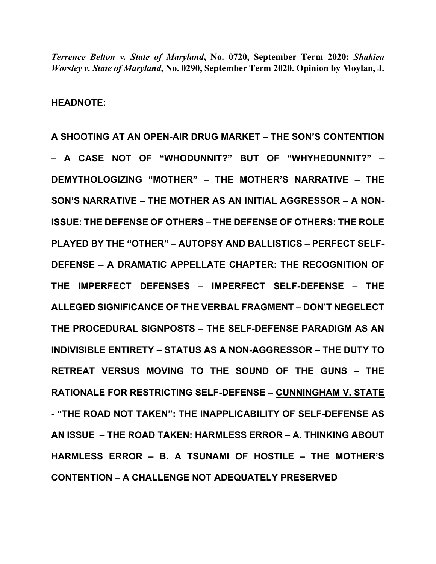*Terrence Belton v. State of Maryland***, No. 0720, September Term 2020;** *Shakiea Worsley v. State of Maryland***, No. 0290, September Term 2020. Opinion by Moylan, J.** 

**HEADNOTE:** 

**A SHOOTING AT AN OPEN-AIR DRUG MARKET – THE SON'S CONTENTION – A CASE NOT OF "WHODUNNIT?" BUT OF "WHYHEDUNNIT?" – DEMYTHOLOGIZING "MOTHER" – THE MOTHER'S NARRATIVE – THE SON'S NARRATIVE – THE MOTHER AS AN INITIAL AGGRESSOR – A NON-ISSUE: THE DEFENSE OF OTHERS – THE DEFENSE OF OTHERS: THE ROLE PLAYED BY THE "OTHER" – AUTOPSY AND BALLISTICS – PERFECT SELF-DEFENSE – A DRAMATIC APPELLATE CHAPTER: THE RECOGNITION OF THE IMPERFECT DEFENSES – IMPERFECT SELF-DEFENSE – THE ALLEGED SIGNIFICANCE OF THE VERBAL FRAGMENT – DON'T NEGELECT THE PROCEDURAL SIGNPOSTS – THE SELF-DEFENSE PARADIGM AS AN INDIVISIBLE ENTIRETY – STATUS AS A NON-AGGRESSOR – THE DUTY TO RETREAT VERSUS MOVING TO THE SOUND OF THE GUNS – THE RATIONALE FOR RESTRICTING SELF-DEFENSE – CUNNINGHAM V. STATE - "THE ROAD NOT TAKEN": THE INAPPLICABILITY OF SELF-DEFENSE AS AN ISSUE – THE ROAD TAKEN: HARMLESS ERROR – A. THINKING ABOUT HARMLESS ERROR – B. A TSUNAMI OF HOSTILE – THE MOTHER'S CONTENTION – A CHALLENGE NOT ADEQUATELY PRESERVED**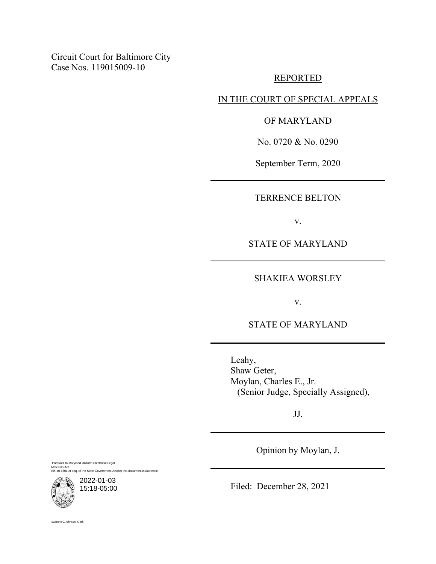Circuit Court for Baltimore City Case Nos. 119015009-10

### REPORTED

IN THE COURT OF SPECIAL APPEALS

### OF MARYLAND

No. 0720 & No. 0290

September Term, 2020

TERRENCE BELTON

v.

STATE OF MARYLAND

SHAKIEA WORSLEY

v.

STATE OF MARYLAND

Leahy, Shaw Geter, Moylan, Charles E., Jr. (Senior Judge, Specially Assigned),

JJ.

Opinion by Moylan, J.

Pursuant to Maryland Uniform Electronic Legal Materials Act (§§ 10-1601 et seq. of the State Government Article) this document is authentic.

2022-01-03 15:18-05:00

Filed: December 28, 2021

Suzanne C. Johnson, Clerk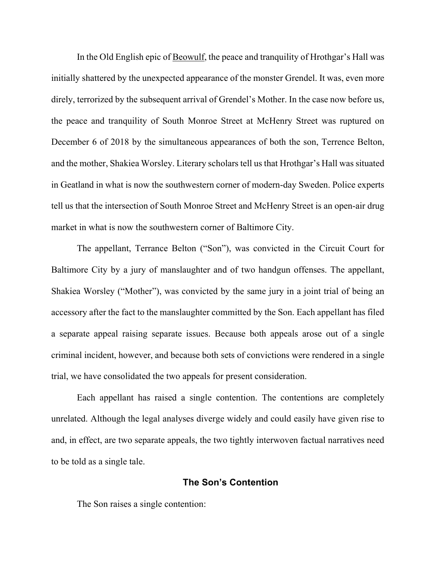In the Old English epic of Beowulf, the peace and tranquility of Hrothgar's Hall was initially shattered by the unexpected appearance of the monster Grendel. It was, even more direly, terrorized by the subsequent arrival of Grendel's Mother. In the case now before us, the peace and tranquility of South Monroe Street at McHenry Street was ruptured on December 6 of 2018 by the simultaneous appearances of both the son, Terrence Belton, and the mother, Shakiea Worsley. Literary scholars tell us that Hrothgar's Hall was situated in Geatland in what is now the southwestern corner of modern-day Sweden. Police experts tell us that the intersection of South Monroe Street and McHenry Street is an open-air drug market in what is now the southwestern corner of Baltimore City.

The appellant, Terrance Belton ("Son"), was convicted in the Circuit Court for Baltimore City by a jury of manslaughter and of two handgun offenses. The appellant, Shakiea Worsley ("Mother"), was convicted by the same jury in a joint trial of being an accessory after the fact to the manslaughter committed by the Son. Each appellant has filed a separate appeal raising separate issues. Because both appeals arose out of a single criminal incident, however, and because both sets of convictions were rendered in a single trial, we have consolidated the two appeals for present consideration.

Each appellant has raised a single contention. The contentions are completely unrelated. Although the legal analyses diverge widely and could easily have given rise to and, in effect, are two separate appeals, the two tightly interwoven factual narratives need to be told as a single tale.

# **The Son's Contention**

The Son raises a single contention: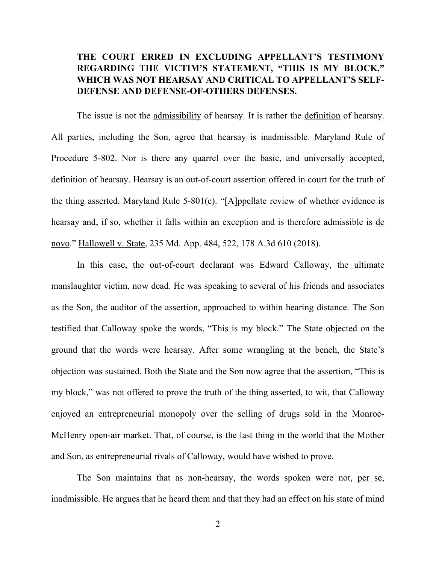# **THE COURT ERRED IN EXCLUDING APPELLANT'S TESTIMONY REGARDING THE VICTIM'S STATEMENT, "THIS IS MY BLOCK," WHICH WAS NOT HEARSAY AND CRITICAL TO APPELLANT'S SELF-DEFENSE AND DEFENSE-OF-OTHERS DEFENSES.**

 The issue is not the admissibility of hearsay. It is rather the definition of hearsay. All parties, including the Son, agree that hearsay is inadmissible. Maryland Rule of Procedure 5-802. Nor is there any quarrel over the basic, and universally accepted, definition of hearsay. Hearsay is an out-of-court assertion offered in court for the truth of the thing asserted. Maryland Rule 5-801(c). "[A]ppellate review of whether evidence is hearsay and, if so, whether it falls within an exception and is therefore admissible is de novo." Hallowell v. State, 235 Md. App. 484, 522, 178 A.3d 610 (2018).

 In this case, the out-of-court declarant was Edward Calloway, the ultimate manslaughter victim, now dead. He was speaking to several of his friends and associates as the Son, the auditor of the assertion, approached to within hearing distance. The Son testified that Calloway spoke the words, "This is my block." The State objected on the ground that the words were hearsay. After some wrangling at the bench, the State's objection was sustained. Both the State and the Son now agree that the assertion, "This is my block," was not offered to prove the truth of the thing asserted, to wit, that Calloway enjoyed an entrepreneurial monopoly over the selling of drugs sold in the Monroe-McHenry open-air market. That, of course, is the last thing in the world that the Mother and Son, as entrepreneurial rivals of Calloway, would have wished to prove.

The Son maintains that as non-hearsay, the words spoken were not, per se, inadmissible. He argues that he heard them and that they had an effect on his state of mind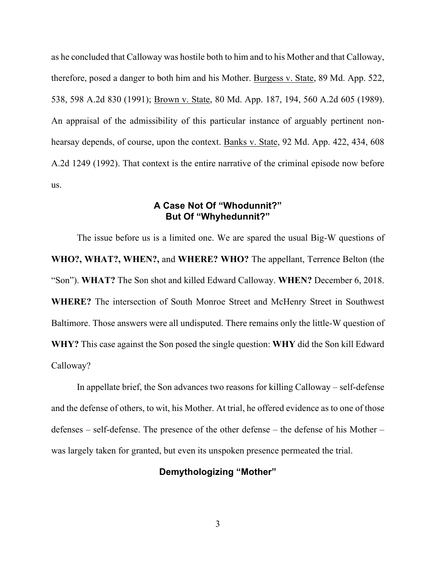as he concluded that Calloway was hostile both to him and to his Mother and that Calloway, therefore, posed a danger to both him and his Mother. Burgess v. State, 89 Md. App. 522, 538, 598 A.2d 830 (1991); Brown v. State, 80 Md. App. 187, 194, 560 A.2d 605 (1989). An appraisal of the admissibility of this particular instance of arguably pertinent nonhearsay depends, of course, upon the context. Banks v. State, 92 Md. App. 422, 434, 608 A.2d 1249 (1992). That context is the entire narrative of the criminal episode now before us.

# **A Case Not Of "Whodunnit?" But Of "Whyhedunnit?"**

 The issue before us is a limited one. We are spared the usual Big-W questions of **WHO?, WHAT?, WHEN?,** and **WHERE? WHO?** The appellant, Terrence Belton (the "Son"). **WHAT?** The Son shot and killed Edward Calloway. **WHEN?** December 6, 2018. **WHERE?** The intersection of South Monroe Street and McHenry Street in Southwest Baltimore. Those answers were all undisputed. There remains only the little-W question of **WHY?** This case against the Son posed the single question: **WHY** did the Son kill Edward Calloway?

 In appellate brief, the Son advances two reasons for killing Calloway – self-defense and the defense of others, to wit, his Mother. At trial, he offered evidence as to one of those defenses – self-defense. The presence of the other defense – the defense of his Mother – was largely taken for granted, but even its unspoken presence permeated the trial.

### **Demythologizing "Mother"**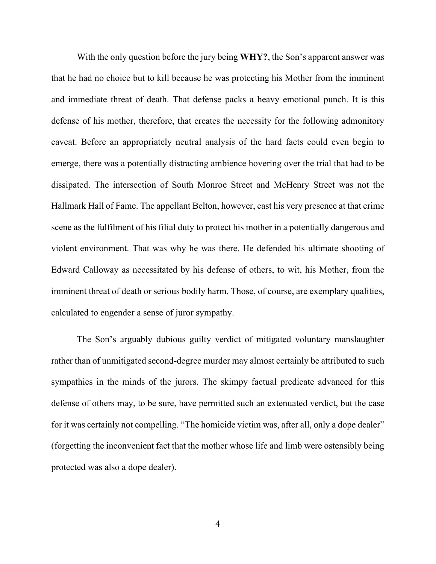With the only question before the jury being **WHY?**, the Son's apparent answer was that he had no choice but to kill because he was protecting his Mother from the imminent and immediate threat of death. That defense packs a heavy emotional punch. It is this defense of his mother, therefore, that creates the necessity for the following admonitory caveat. Before an appropriately neutral analysis of the hard facts could even begin to emerge, there was a potentially distracting ambience hovering over the trial that had to be dissipated. The intersection of South Monroe Street and McHenry Street was not the Hallmark Hall of Fame. The appellant Belton, however, cast his very presence at that crime scene as the fulfilment of his filial duty to protect his mother in a potentially dangerous and violent environment. That was why he was there. He defended his ultimate shooting of Edward Calloway as necessitated by his defense of others, to wit, his Mother, from the imminent threat of death or serious bodily harm. Those, of course, are exemplary qualities, calculated to engender a sense of juror sympathy.

 The Son's arguably dubious guilty verdict of mitigated voluntary manslaughter rather than of unmitigated second-degree murder may almost certainly be attributed to such sympathies in the minds of the jurors. The skimpy factual predicate advanced for this defense of others may, to be sure, have permitted such an extenuated verdict, but the case for it was certainly not compelling. "The homicide victim was, after all, only a dope dealer" (forgetting the inconvenient fact that the mother whose life and limb were ostensibly being protected was also a dope dealer).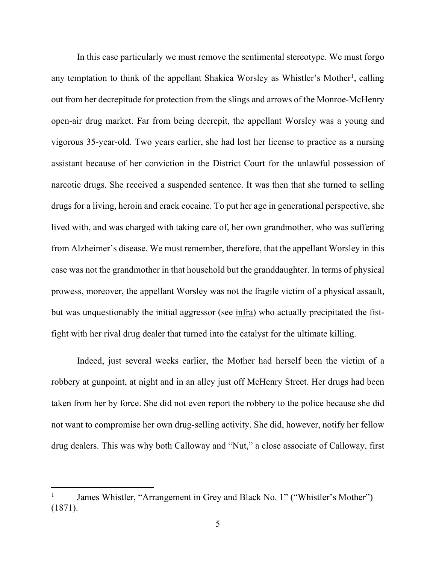In this case particularly we must remove the sentimental stereotype. We must forgo any temptation to think of the appellant Shakiea Worsley as Whistler's Mother<sup>1</sup>, calling out from her decrepitude for protection from the slings and arrows of the Monroe-McHenry open-air drug market. Far from being decrepit, the appellant Worsley was a young and vigorous 35-year-old. Two years earlier, she had lost her license to practice as a nursing assistant because of her conviction in the District Court for the unlawful possession of narcotic drugs. She received a suspended sentence. It was then that she turned to selling drugs for a living, heroin and crack cocaine. To put her age in generational perspective, she lived with, and was charged with taking care of, her own grandmother, who was suffering from Alzheimer's disease. We must remember, therefore, that the appellant Worsley in this case was not the grandmother in that household but the granddaughter. In terms of physical prowess, moreover, the appellant Worsley was not the fragile victim of a physical assault, but was unquestionably the initial aggressor (see infra) who actually precipitated the fistfight with her rival drug dealer that turned into the catalyst for the ultimate killing.

 Indeed, just several weeks earlier, the Mother had herself been the victim of a robbery at gunpoint, at night and in an alley just off McHenry Street. Her drugs had been taken from her by force. She did not even report the robbery to the police because she did not want to compromise her own drug-selling activity. She did, however, notify her fellow drug dealers. This was why both Calloway and "Nut," a close associate of Calloway, first

<sup>1</sup> James Whistler, "Arrangement in Grey and Black No. 1" ("Whistler's Mother") (1871).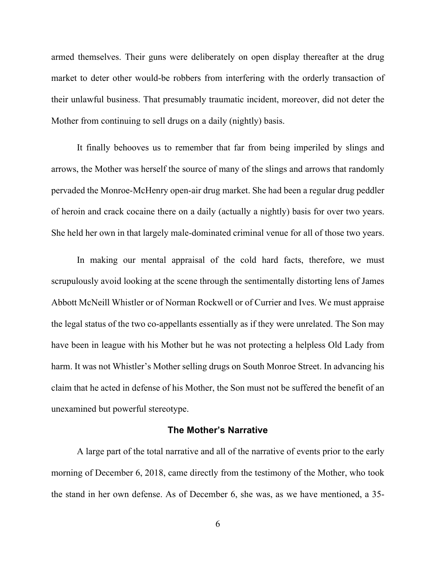armed themselves. Their guns were deliberately on open display thereafter at the drug market to deter other would-be robbers from interfering with the orderly transaction of their unlawful business. That presumably traumatic incident, moreover, did not deter the Mother from continuing to sell drugs on a daily (nightly) basis.

 It finally behooves us to remember that far from being imperiled by slings and arrows, the Mother was herself the source of many of the slings and arrows that randomly pervaded the Monroe-McHenry open-air drug market. She had been a regular drug peddler of heroin and crack cocaine there on a daily (actually a nightly) basis for over two years. She held her own in that largely male-dominated criminal venue for all of those two years.

 In making our mental appraisal of the cold hard facts, therefore, we must scrupulously avoid looking at the scene through the sentimentally distorting lens of James Abbott McNeill Whistler or of Norman Rockwell or of Currier and Ives. We must appraise the legal status of the two co-appellants essentially as if they were unrelated. The Son may have been in league with his Mother but he was not protecting a helpless Old Lady from harm. It was not Whistler's Mother selling drugs on South Monroe Street. In advancing his claim that he acted in defense of his Mother, the Son must not be suffered the benefit of an unexamined but powerful stereotype.

### **The Mother's Narrative**

 A large part of the total narrative and all of the narrative of events prior to the early morning of December 6, 2018, came directly from the testimony of the Mother, who took the stand in her own defense. As of December 6, she was, as we have mentioned, a 35-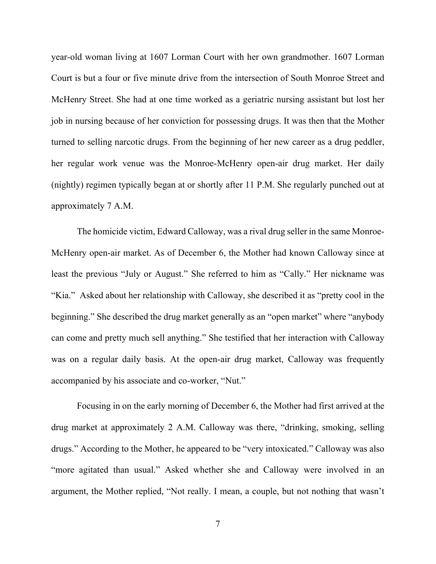year-old woman living at 1607 Lorman Court with her own grandmother. 1607 Lorman Court is but a four or five minute drive from the intersection of South Monroe Street and McHenry Street. She had at one time worked as a geriatric nursing assistant but lost her job in nursing because of her conviction for possessing drugs. It was then that the Mother turned to selling narcotic drugs. From the beginning of her new career as a drug peddler, her regular work venue was the Monroe-McHenry open-air drug market. Her daily (nightly) regimen typically began at or shortly after 11 P.M. She regularly punched out at approximately 7 A.M.

 The homicide victim, Edward Calloway, was a rival drug seller in the same Monroe-McHenry open-air market. As of December 6, the Mother had known Calloway since at least the previous "July or August." She referred to him as "Cally." Her nickname was "Kia." Asked about her relationship with Calloway, she described it as "pretty cool in the beginning." She described the drug market generally as an "open market" where "anybody can come and pretty much sell anything." She testified that her interaction with Calloway was on a regular daily basis. At the open-air drug market, Calloway was frequently accompanied by his associate and co-worker, "Nut."

 Focusing in on the early morning of December 6, the Mother had first arrived at the drug market at approximately 2 A.M. Calloway was there, "drinking, smoking, selling drugs." According to the Mother, he appeared to be "very intoxicated." Calloway was also "more agitated than usual." Asked whether she and Calloway were involved in an argument, the Mother replied, "Not really. I mean, a couple, but not nothing that wasn't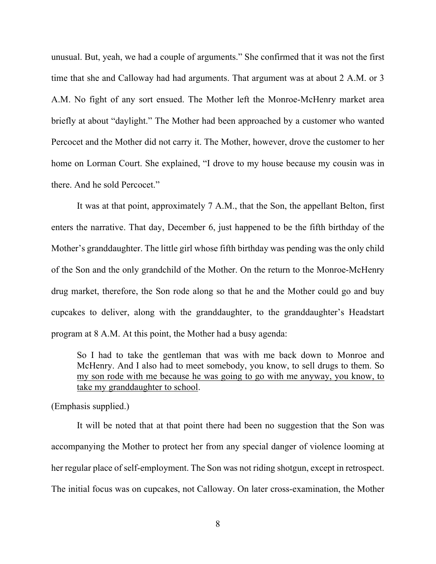unusual. But, yeah, we had a couple of arguments." She confirmed that it was not the first time that she and Calloway had had arguments. That argument was at about 2 A.M. or 3 A.M. No fight of any sort ensued. The Mother left the Monroe-McHenry market area briefly at about "daylight." The Mother had been approached by a customer who wanted Percocet and the Mother did not carry it. The Mother, however, drove the customer to her home on Lorman Court. She explained, "I drove to my house because my cousin was in there. And he sold Percocet."

 It was at that point, approximately 7 A.M., that the Son, the appellant Belton, first enters the narrative. That day, December 6, just happened to be the fifth birthday of the Mother's granddaughter. The little girl whose fifth birthday was pending was the only child of the Son and the only grandchild of the Mother. On the return to the Monroe-McHenry drug market, therefore, the Son rode along so that he and the Mother could go and buy cupcakes to deliver, along with the granddaughter, to the granddaughter's Headstart program at 8 A.M. At this point, the Mother had a busy agenda:

So I had to take the gentleman that was with me back down to Monroe and McHenry. And I also had to meet somebody, you know, to sell drugs to them. So my son rode with me because he was going to go with me anyway, you know, to take my granddaughter to school.

(Emphasis supplied.)

 It will be noted that at that point there had been no suggestion that the Son was accompanying the Mother to protect her from any special danger of violence looming at her regular place of self-employment. The Son was not riding shotgun, except in retrospect. The initial focus was on cupcakes, not Calloway. On later cross-examination, the Mother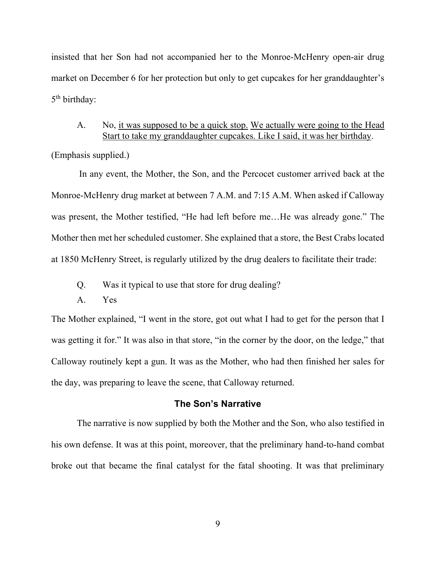insisted that her Son had not accompanied her to the Monroe-McHenry open-air drug market on December 6 for her protection but only to get cupcakes for her granddaughter's 5<sup>th</sup> birthday:

# A. No, it was supposed to be a quick stop. We actually were going to the Head Start to take my granddaughter cupcakes. Like I said, it was her birthday.

(Emphasis supplied.)

 In any event, the Mother, the Son, and the Percocet customer arrived back at the Monroe-McHenry drug market at between 7 A.M. and 7:15 A.M. When asked if Calloway was present, the Mother testified, "He had left before me…He was already gone." The Mother then met her scheduled customer. She explained that a store, the Best Crabs located at 1850 McHenry Street, is regularly utilized by the drug dealers to facilitate their trade:

- Q. Was it typical to use that store for drug dealing?
- A. Yes

The Mother explained, "I went in the store, got out what I had to get for the person that I was getting it for." It was also in that store, "in the corner by the door, on the ledge," that Calloway routinely kept a gun. It was as the Mother, who had then finished her sales for the day, was preparing to leave the scene, that Calloway returned.

### **The Son's Narrative**

 The narrative is now supplied by both the Mother and the Son, who also testified in his own defense. It was at this point, moreover, that the preliminary hand-to-hand combat broke out that became the final catalyst for the fatal shooting. It was that preliminary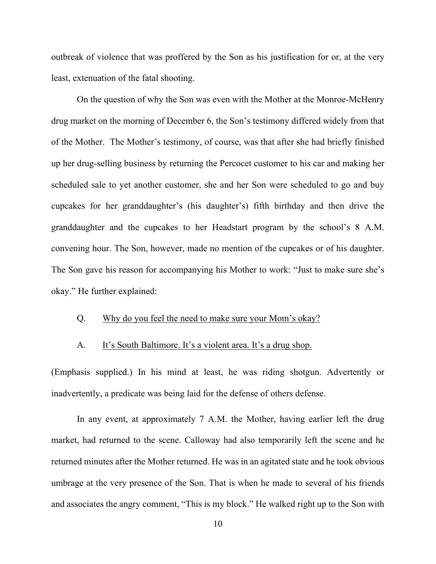outbreak of violence that was proffered by the Son as his justification for or, at the very least, extenuation of the fatal shooting.

 On the question of why the Son was even with the Mother at the Monroe-McHenry drug market on the morning of December 6, the Son's testimony differed widely from that of the Mother. The Mother's testimony, of course, was that after she had briefly finished up her drug-selling business by returning the Percocet customer to his car and making her scheduled sale to yet another customer, she and her Son were scheduled to go and buy cupcakes for her granddaughter's (his daughter's) fifth birthday and then drive the granddaughter and the cupcakes to her Headstart program by the school's 8 A.M. convening hour. The Son, however, made no mention of the cupcakes or of his daughter. The Son gave his reason for accompanying his Mother to work: "Just to make sure she's okay." He further explained:

### Q. Why do you feel the need to make sure your Mom's okay?

### A. It's South Baltimore. It's a violent area. It's a drug shop.

(Emphasis supplied.) In his mind at least, he was riding shotgun. Advertently or inadvertently, a predicate was being laid for the defense of others defense.

 In any event, at approximately 7 A.M. the Mother, having earlier left the drug market, had returned to the scene. Calloway had also temporarily left the scene and he returned minutes after the Mother returned. He was in an agitated state and he took obvious umbrage at the very presence of the Son. That is when he made to several of his friends and associates the angry comment, "This is my block." He walked right up to the Son with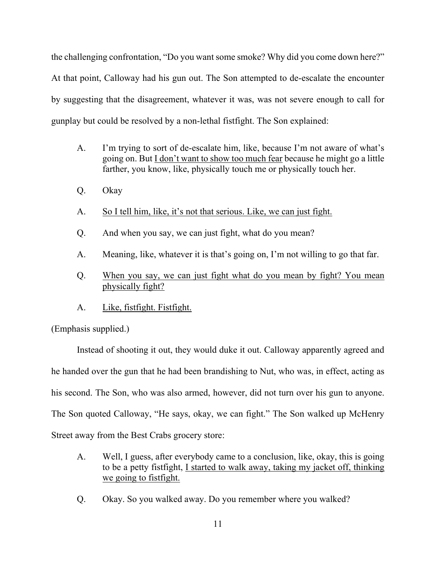the challenging confrontation, "Do you want some smoke? Why did you come down here?" At that point, Calloway had his gun out. The Son attempted to de-escalate the encounter by suggesting that the disagreement, whatever it was, was not severe enough to call for gunplay but could be resolved by a non-lethal fistfight. The Son explained:

- A. I'm trying to sort of de-escalate him, like, because I'm not aware of what's going on. But I don't want to show too much fear because he might go a little farther, you know, like, physically touch me or physically touch her.
- Q. Okay
- A. So I tell him, like, it's not that serious. Like, we can just fight.
- Q. And when you say, we can just fight, what do you mean?
- A. Meaning, like, whatever it is that's going on, I'm not willing to go that far.
- Q. When you say, we can just fight what do you mean by fight? You mean physically fight?
- A. Like, fistfight. Fistfight.

(Emphasis supplied.)

 Instead of shooting it out, they would duke it out. Calloway apparently agreed and he handed over the gun that he had been brandishing to Nut, who was, in effect, acting as his second. The Son, who was also armed, however, did not turn over his gun to anyone. The Son quoted Calloway, "He says, okay, we can fight." The Son walked up McHenry Street away from the Best Crabs grocery store:

- A. Well, I guess, after everybody came to a conclusion, like, okay, this is going to be a petty fistfight, I started to walk away, taking my jacket off, thinking we going to fistfight.
- Q. Okay. So you walked away. Do you remember where you walked?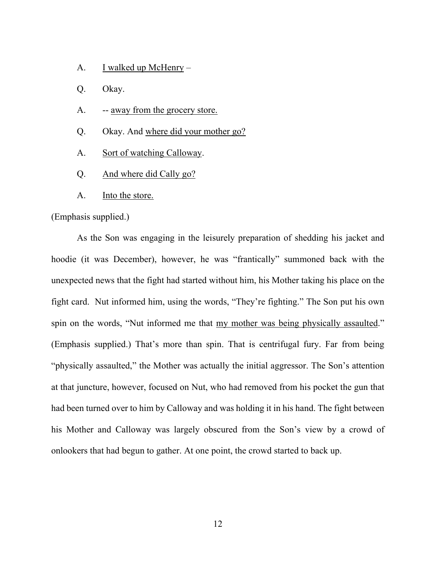- A. I walked up McHenry –
- Q. Okay.
- A. -- <u>away from the grocery store.</u>
- Q. Okay. And where did your mother go?
- A. Sort of watching Calloway.
- Q. And where did Cally go?
- A. Into the store.

### (Emphasis supplied.)

 As the Son was engaging in the leisurely preparation of shedding his jacket and hoodie (it was December), however, he was "frantically" summoned back with the unexpected news that the fight had started without him, his Mother taking his place on the fight card. Nut informed him, using the words, "They're fighting." The Son put his own spin on the words, "Nut informed me that my mother was being physically assaulted." (Emphasis supplied.) That's more than spin. That is centrifugal fury. Far from being "physically assaulted," the Mother was actually the initial aggressor. The Son's attention at that juncture, however, focused on Nut, who had removed from his pocket the gun that had been turned over to him by Calloway and was holding it in his hand. The fight between his Mother and Calloway was largely obscured from the Son's view by a crowd of onlookers that had begun to gather. At one point, the crowd started to back up.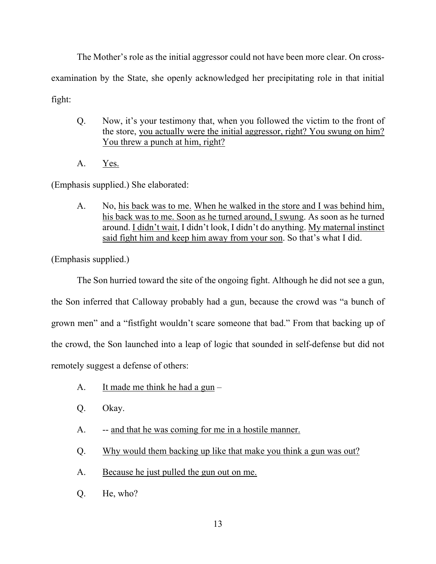The Mother's role as the initial aggressor could not have been more clear. On crossexamination by the State, she openly acknowledged her precipitating role in that initial fight:

- Q. Now, it's your testimony that, when you followed the victim to the front of the store, you actually were the initial aggressor, right? You swung on him? You threw a punch at him, right?
- A. Yes.

(Emphasis supplied.) She elaborated:

 A. No, his back was to me. When he walked in the store and I was behind him, his back was to me. Soon as he turned around, I swung. As soon as he turned around. I didn't wait, I didn't look, I didn't do anything. My maternal instinct said fight him and keep him away from your son. So that's what I did.

(Emphasis supplied.)

 The Son hurried toward the site of the ongoing fight. Although he did not see a gun, the Son inferred that Calloway probably had a gun, because the crowd was "a bunch of grown men" and a "fistfight wouldn't scare someone that bad." From that backing up of the crowd, the Son launched into a leap of logic that sounded in self-defense but did not remotely suggest a defense of others:

- A. It made me think he had a gun  $-$
- Q. Okay.
- A. -- and that he was coming for me in a hostile manner.
- Q. Why would them backing up like that make you think a gun was out?
- A. Because he just pulled the gun out on me.
- Q. He, who?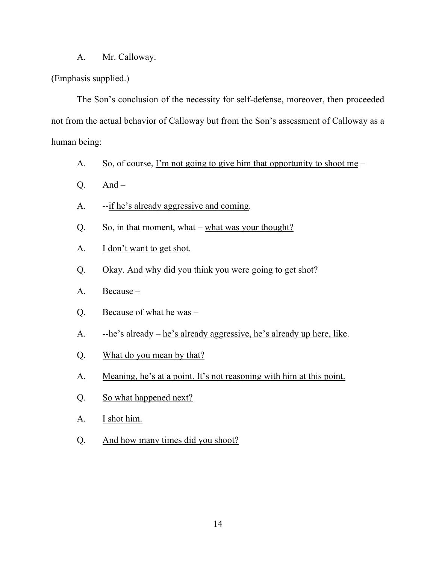### A. Mr. Calloway.

# (Emphasis supplied.)

 The Son's conclusion of the necessity for self-defense, moreover, then proceeded not from the actual behavior of Calloway but from the Son's assessment of Calloway as a human being:

- A. So, of course,  $\Gamma$ m not going to give him that opportunity to shoot me –
- $O.$  And –
- A. --if he's already aggressive and coming.
- Q. So, in that moment, what what was your thought?
- A. **I** don't want to get shot.
- Q. Okay. And why did you think you were going to get shot?
- A. Because –
- Q. Because of what he was –
- A. --he's already he's already aggressive, he's already up here, like.
- Q. What do you mean by that?
- A. Meaning, he's at a point. It's not reasoning with him at this point.
- Q. So what happened next?
- A. I shot him.
- Q. And how many times did you shoot?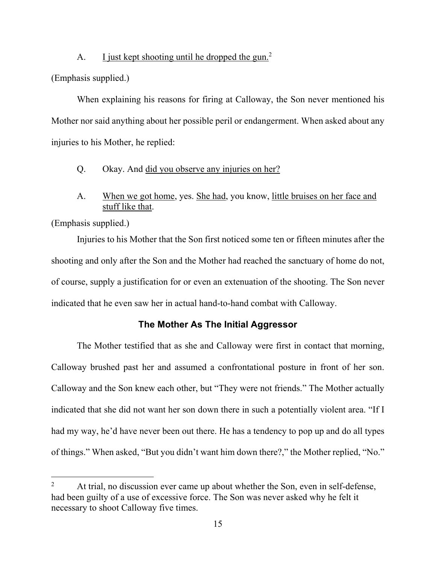### A. I just kept shooting until he dropped the gun.<sup>2</sup>

(Emphasis supplied.)

 When explaining his reasons for firing at Calloway, the Son never mentioned his Mother nor said anything about her possible peril or endangerment. When asked about any injuries to his Mother, he replied:

- Q. Okay. And did you observe any injuries on her?
- A. When we got home, yes. She had, you know, little bruises on her face and stuff like that.

(Emphasis supplied.)

 Injuries to his Mother that the Son first noticed some ten or fifteen minutes after the shooting and only after the Son and the Mother had reached the sanctuary of home do not, of course, supply a justification for or even an extenuation of the shooting. The Son never indicated that he even saw her in actual hand-to-hand combat with Calloway.

### **The Mother As The Initial Aggressor**

 The Mother testified that as she and Calloway were first in contact that morning, Calloway brushed past her and assumed a confrontational posture in front of her son. Calloway and the Son knew each other, but "They were not friends." The Mother actually indicated that she did not want her son down there in such a potentially violent area. "If I had my way, he'd have never been out there. He has a tendency to pop up and do all types of things." When asked, "But you didn't want him down there?," the Mother replied, "No."

<sup>2</sup> At trial, no discussion ever came up about whether the Son, even in self-defense, had been guilty of a use of excessive force. The Son was never asked why he felt it necessary to shoot Calloway five times.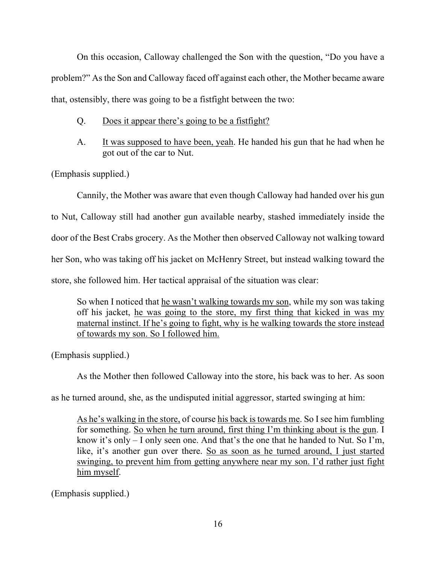On this occasion, Calloway challenged the Son with the question, "Do you have a problem?" As the Son and Calloway faced off against each other, the Mother became aware that, ostensibly, there was going to be a fistfight between the two:

- Q. Does it appear there's going to be a fistfight?
- A. It was supposed to have been, yeah. He handed his gun that he had when he got out of the car to Nut.

(Emphasis supplied.)

 Cannily, the Mother was aware that even though Calloway had handed over his gun to Nut, Calloway still had another gun available nearby, stashed immediately inside the door of the Best Crabs grocery. As the Mother then observed Calloway not walking toward her Son, who was taking off his jacket on McHenry Street, but instead walking toward the store, she followed him. Her tactical appraisal of the situation was clear:

So when I noticed that he wasn't walking towards my son, while my son was taking off his jacket, he was going to the store, my first thing that kicked in was my maternal instinct. If he's going to fight, why is he walking towards the store instead of towards my son. So I followed him.

(Emphasis supplied.)

As the Mother then followed Calloway into the store, his back was to her. As soon

as he turned around, she, as the undisputed initial aggressor, started swinging at him:

As he's walking in the store, of course his back is towards me. So I see him fumbling for something. So when he turn around, first thing I'm thinking about is the gun. I know it's only – I only seen one. And that's the one that he handed to Nut. So I'm, like, it's another gun over there. So as soon as he turned around, I just started swinging, to prevent him from getting anywhere near my son. I'd rather just fight him myself.

(Emphasis supplied.)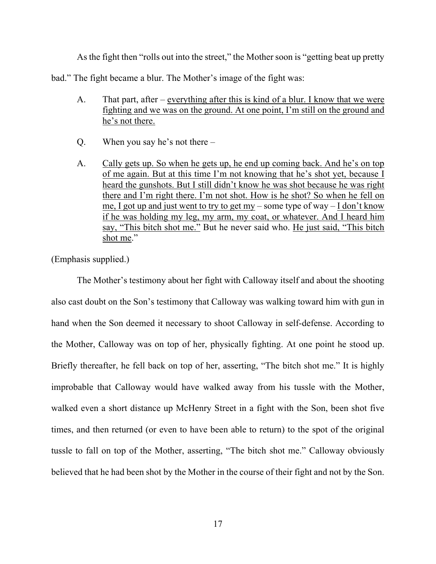As the fight then "rolls out into the street," the Mother soon is "getting beat up pretty

bad." The fight became a blur. The Mother's image of the fight was:

- A. That part, after everything after this is kind of a blur. I know that we were fighting and we was on the ground. At one point, I'm still on the ground and he's not there.
- Q. When you say he's not there –
- A. Cally gets up. So when he gets up, he end up coming back. And he's on top of me again. But at this time I'm not knowing that he's shot yet, because I heard the gunshots. But I still didn't know he was shot because he was right there and I'm right there. I'm not shot. How is he shot? So when he fell on me, I got up and just went to try to get my – some type of way – I don't know if he was holding my leg, my arm, my coat, or whatever. And I heard him say, "This bitch shot me." But he never said who. He just said, "This bitch shot me."

(Emphasis supplied.)

 The Mother's testimony about her fight with Calloway itself and about the shooting also cast doubt on the Son's testimony that Calloway was walking toward him with gun in hand when the Son deemed it necessary to shoot Calloway in self-defense. According to the Mother, Calloway was on top of her, physically fighting. At one point he stood up. Briefly thereafter, he fell back on top of her, asserting, "The bitch shot me." It is highly improbable that Calloway would have walked away from his tussle with the Mother, walked even a short distance up McHenry Street in a fight with the Son, been shot five times, and then returned (or even to have been able to return) to the spot of the original tussle to fall on top of the Mother, asserting, "The bitch shot me." Calloway obviously believed that he had been shot by the Mother in the course of their fight and not by the Son.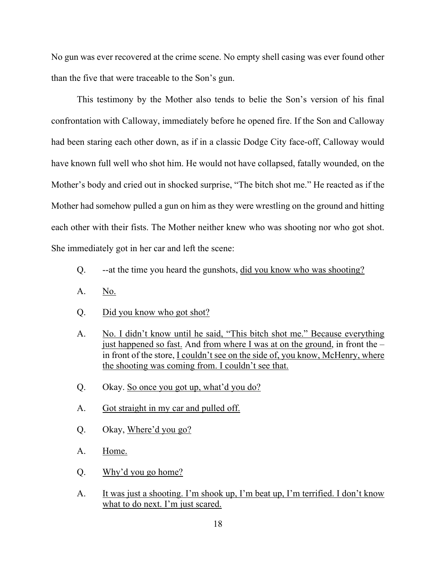No gun was ever recovered at the crime scene. No empty shell casing was ever found other than the five that were traceable to the Son's gun.

 This testimony by the Mother also tends to belie the Son's version of his final confrontation with Calloway, immediately before he opened fire. If the Son and Calloway had been staring each other down, as if in a classic Dodge City face-off, Calloway would have known full well who shot him. He would not have collapsed, fatally wounded, on the Mother's body and cried out in shocked surprise, "The bitch shot me." He reacted as if the Mother had somehow pulled a gun on him as they were wrestling on the ground and hitting each other with their fists. The Mother neither knew who was shooting nor who got shot. She immediately got in her car and left the scene:

- Q. --at the time you heard the gunshots, did you know who was shooting?
- A. No.
- Q. Did you know who got shot?
- A. No. I didn't know until he said, "This bitch shot me." Because everything just happened so fast. And from where I was at on the ground, in front the  $$  in front of the store, I couldn't see on the side of, you know, McHenry, where the shooting was coming from. I couldn't see that.
- Q. Okay. So once you got up, what'd you do?
- A. Got straight in my car and pulled off.
- Q. Okay, Where'd you go?
- A. Home.
- Q. Why'd you go home?
- A. It was just a shooting. I'm shook up, I'm beat up, I'm terrified. I don't know what to do next. I'm just scared.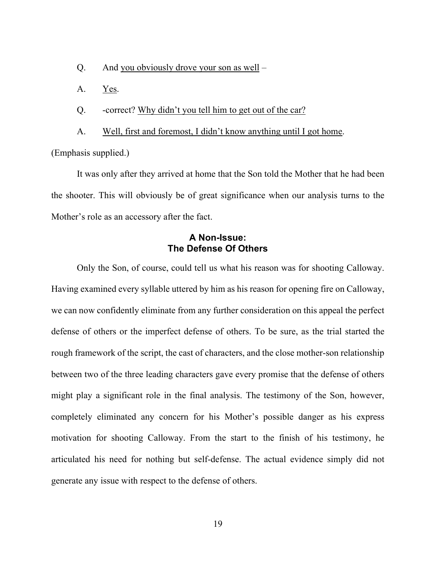- Q. And you obviously drove your son as well –
- A. Yes.

Q. -correct? Why didn't you tell him to get out of the car?

A. Well, first and foremost, I didn't know anything until I got home.

(Emphasis supplied.)

 It was only after they arrived at home that the Son told the Mother that he had been the shooter. This will obviously be of great significance when our analysis turns to the Mother's role as an accessory after the fact.

# **A Non-Issue: The Defense Of Others**

 Only the Son, of course, could tell us what his reason was for shooting Calloway. Having examined every syllable uttered by him as his reason for opening fire on Calloway, we can now confidently eliminate from any further consideration on this appeal the perfect defense of others or the imperfect defense of others. To be sure, as the trial started the rough framework of the script, the cast of characters, and the close mother-son relationship between two of the three leading characters gave every promise that the defense of others might play a significant role in the final analysis. The testimony of the Son, however, completely eliminated any concern for his Mother's possible danger as his express motivation for shooting Calloway. From the start to the finish of his testimony, he articulated his need for nothing but self-defense. The actual evidence simply did not generate any issue with respect to the defense of others.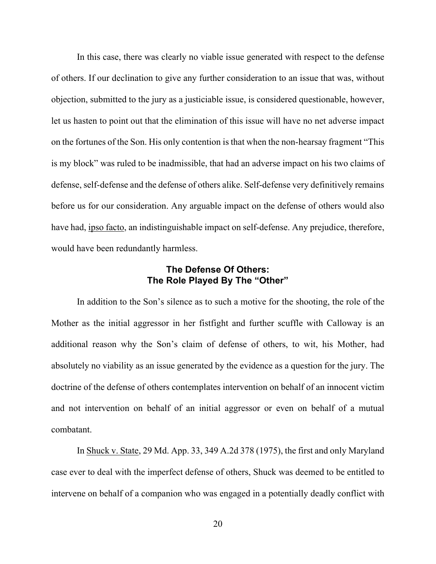In this case, there was clearly no viable issue generated with respect to the defense of others. If our declination to give any further consideration to an issue that was, without objection, submitted to the jury as a justiciable issue, is considered questionable, however, let us hasten to point out that the elimination of this issue will have no net adverse impact on the fortunes of the Son. His only contention is that when the non-hearsay fragment "This is my block" was ruled to be inadmissible, that had an adverse impact on his two claims of defense, self-defense and the defense of others alike. Self-defense very definitively remains before us for our consideration. Any arguable impact on the defense of others would also have had, ipso facto, an indistinguishable impact on self-defense. Any prejudice, therefore, would have been redundantly harmless.

# **The Defense Of Others: The Role Played By The "Other"**

 In addition to the Son's silence as to such a motive for the shooting, the role of the Mother as the initial aggressor in her fistfight and further scuffle with Calloway is an additional reason why the Son's claim of defense of others, to wit, his Mother, had absolutely no viability as an issue generated by the evidence as a question for the jury. The doctrine of the defense of others contemplates intervention on behalf of an innocent victim and not intervention on behalf of an initial aggressor or even on behalf of a mutual combatant.

 In Shuck v. State, 29 Md. App. 33, 349 A.2d 378 (1975), the first and only Maryland case ever to deal with the imperfect defense of others, Shuck was deemed to be entitled to intervene on behalf of a companion who was engaged in a potentially deadly conflict with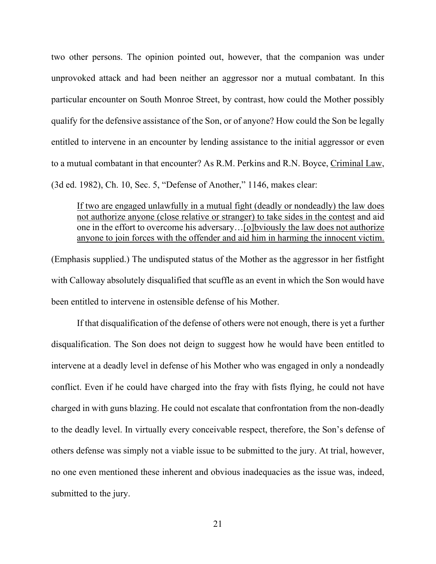two other persons. The opinion pointed out, however, that the companion was under unprovoked attack and had been neither an aggressor nor a mutual combatant. In this particular encounter on South Monroe Street, by contrast, how could the Mother possibly qualify for the defensive assistance of the Son, or of anyone? How could the Son be legally entitled to intervene in an encounter by lending assistance to the initial aggressor or even to a mutual combatant in that encounter? As R.M. Perkins and R.N. Boyce, Criminal Law, (3d ed. 1982), Ch. 10, Sec. 5, "Defense of Another," 1146, makes clear:

If two are engaged unlawfully in a mutual fight (deadly or nondeadly) the law does not authorize anyone (close relative or stranger) to take sides in the contest and aid one in the effort to overcome his adversary…[o]bviously the law does not authorize anyone to join forces with the offender and aid him in harming the innocent victim.

(Emphasis supplied.) The undisputed status of the Mother as the aggressor in her fistfight with Calloway absolutely disqualified that scuffle as an event in which the Son would have been entitled to intervene in ostensible defense of his Mother.

 If that disqualification of the defense of others were not enough, there is yet a further disqualification. The Son does not deign to suggest how he would have been entitled to intervene at a deadly level in defense of his Mother who was engaged in only a nondeadly conflict. Even if he could have charged into the fray with fists flying, he could not have charged in with guns blazing. He could not escalate that confrontation from the non-deadly to the deadly level. In virtually every conceivable respect, therefore, the Son's defense of others defense was simply not a viable issue to be submitted to the jury. At trial, however, no one even mentioned these inherent and obvious inadequacies as the issue was, indeed, submitted to the jury.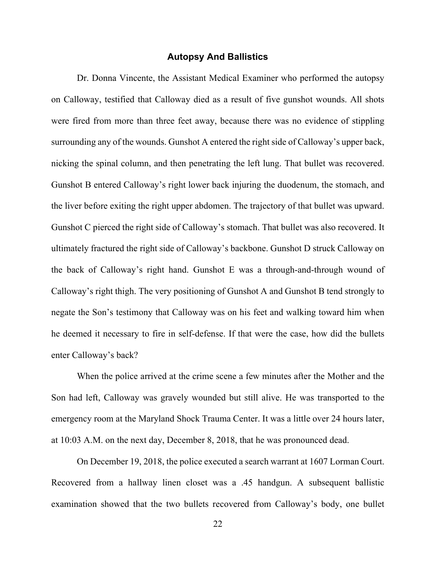### **Autopsy And Ballistics**

 Dr. Donna Vincente, the Assistant Medical Examiner who performed the autopsy on Calloway, testified that Calloway died as a result of five gunshot wounds. All shots were fired from more than three feet away, because there was no evidence of stippling surrounding any of the wounds. Gunshot A entered the right side of Calloway's upper back, nicking the spinal column, and then penetrating the left lung. That bullet was recovered. Gunshot B entered Calloway's right lower back injuring the duodenum, the stomach, and the liver before exiting the right upper abdomen. The trajectory of that bullet was upward. Gunshot C pierced the right side of Calloway's stomach. That bullet was also recovered. It ultimately fractured the right side of Calloway's backbone. Gunshot D struck Calloway on the back of Calloway's right hand. Gunshot E was a through-and-through wound of Calloway's right thigh. The very positioning of Gunshot A and Gunshot B tend strongly to negate the Son's testimony that Calloway was on his feet and walking toward him when he deemed it necessary to fire in self-defense. If that were the case, how did the bullets enter Calloway's back?

 When the police arrived at the crime scene a few minutes after the Mother and the Son had left, Calloway was gravely wounded but still alive. He was transported to the emergency room at the Maryland Shock Trauma Center. It was a little over 24 hours later, at 10:03 A.M. on the next day, December 8, 2018, that he was pronounced dead.

 On December 19, 2018, the police executed a search warrant at 1607 Lorman Court. Recovered from a hallway linen closet was a .45 handgun. A subsequent ballistic examination showed that the two bullets recovered from Calloway's body, one bullet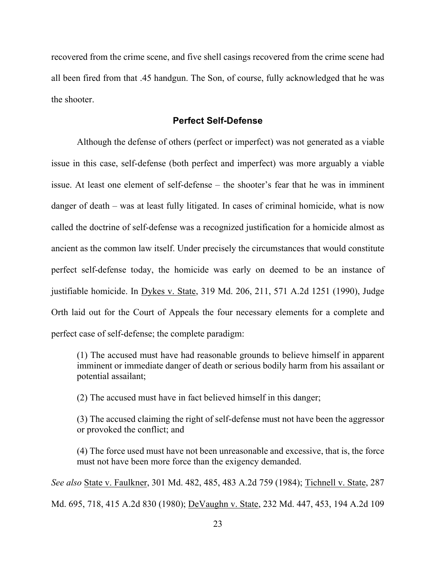recovered from the crime scene, and five shell casings recovered from the crime scene had all been fired from that .45 handgun. The Son, of course, fully acknowledged that he was the shooter.

### **Perfect Self-Defense**

 Although the defense of others (perfect or imperfect) was not generated as a viable issue in this case, self-defense (both perfect and imperfect) was more arguably a viable issue. At least one element of self-defense – the shooter's fear that he was in imminent danger of death – was at least fully litigated. In cases of criminal homicide, what is now called the doctrine of self-defense was a recognized justification for a homicide almost as ancient as the common law itself. Under precisely the circumstances that would constitute perfect self-defense today, the homicide was early on deemed to be an instance of justifiable homicide. In Dykes v. State, 319 Md. 206, 211, 571 A.2d 1251 (1990), Judge Orth laid out for the Court of Appeals the four necessary elements for a complete and perfect case of self-defense; the complete paradigm:

(1) The accused must have had reasonable grounds to believe himself in apparent imminent or immediate danger of death or serious bodily harm from his assailant or potential assailant;

(2) The accused must have in fact believed himself in this danger;

(3) The accused claiming the right of self-defense must not have been the aggressor or provoked the conflict; and

(4) The force used must have not been unreasonable and excessive, that is, the force must not have been more force than the exigency demanded.

*See also* State v. Faulkner, 301 Md. 482, 485, 483 A.2d 759 (1984); Tichnell v. State, 287

Md. 695, 718, 415 A.2d 830 (1980); DeVaughn v. State, 232 Md. 447, 453, 194 A.2d 109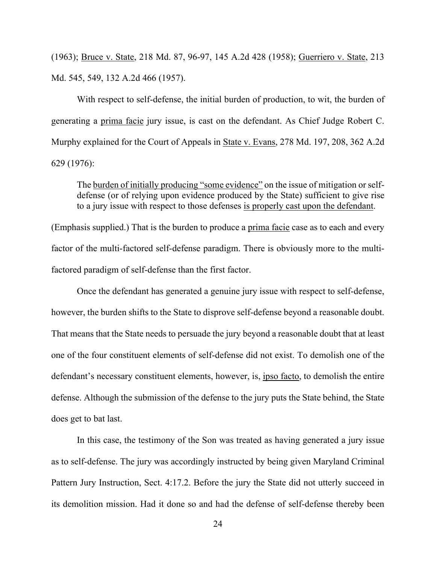(1963); Bruce v. State, 218 Md. 87, 96-97, 145 A.2d 428 (1958); Guerriero v. State, 213 Md. 545, 549, 132 A.2d 466 (1957).

 With respect to self-defense, the initial burden of production, to wit, the burden of generating a prima facie jury issue, is cast on the defendant. As Chief Judge Robert C. Murphy explained for the Court of Appeals in State v. Evans, 278 Md. 197, 208, 362 A.2d 629 (1976):

The burden of initially producing "some evidence" on the issue of mitigation or selfdefense (or of relying upon evidence produced by the State) sufficient to give rise to a jury issue with respect to those defenses is properly cast upon the defendant.

(Emphasis supplied.) That is the burden to produce a prima facie case as to each and every factor of the multi-factored self-defense paradigm. There is obviously more to the multifactored paradigm of self-defense than the first factor.

 Once the defendant has generated a genuine jury issue with respect to self-defense, however, the burden shifts to the State to disprove self-defense beyond a reasonable doubt. That means that the State needs to persuade the jury beyond a reasonable doubt that at least one of the four constituent elements of self-defense did not exist. To demolish one of the defendant's necessary constituent elements, however, is, ipso facto, to demolish the entire defense. Although the submission of the defense to the jury puts the State behind, the State does get to bat last.

 In this case, the testimony of the Son was treated as having generated a jury issue as to self-defense. The jury was accordingly instructed by being given Maryland Criminal Pattern Jury Instruction, Sect. 4:17.2. Before the jury the State did not utterly succeed in its demolition mission. Had it done so and had the defense of self-defense thereby been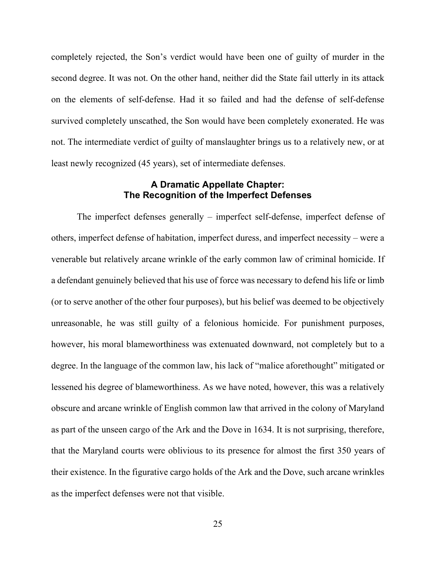completely rejected, the Son's verdict would have been one of guilty of murder in the second degree. It was not. On the other hand, neither did the State fail utterly in its attack on the elements of self-defense. Had it so failed and had the defense of self-defense survived completely unscathed, the Son would have been completely exonerated. He was not. The intermediate verdict of guilty of manslaughter brings us to a relatively new, or at least newly recognized (45 years), set of intermediate defenses.

# **A Dramatic Appellate Chapter: The Recognition of the Imperfect Defenses**

 The imperfect defenses generally – imperfect self-defense, imperfect defense of others, imperfect defense of habitation, imperfect duress, and imperfect necessity – were a venerable but relatively arcane wrinkle of the early common law of criminal homicide. If a defendant genuinely believed that his use of force was necessary to defend his life or limb (or to serve another of the other four purposes), but his belief was deemed to be objectively unreasonable, he was still guilty of a felonious homicide. For punishment purposes, however, his moral blameworthiness was extenuated downward, not completely but to a degree. In the language of the common law, his lack of "malice aforethought" mitigated or lessened his degree of blameworthiness. As we have noted, however, this was a relatively obscure and arcane wrinkle of English common law that arrived in the colony of Maryland as part of the unseen cargo of the Ark and the Dove in 1634. It is not surprising, therefore, that the Maryland courts were oblivious to its presence for almost the first 350 years of their existence. In the figurative cargo holds of the Ark and the Dove, such arcane wrinkles as the imperfect defenses were not that visible.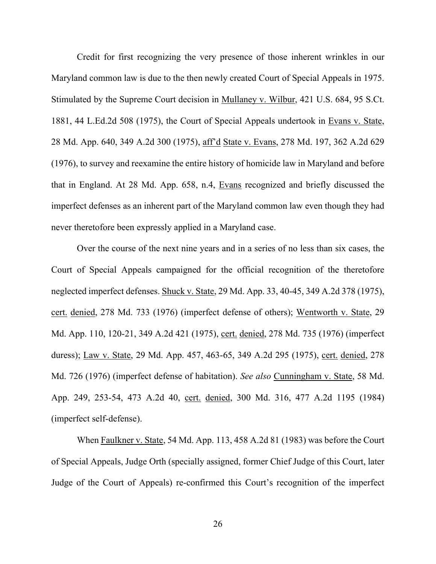Credit for first recognizing the very presence of those inherent wrinkles in our Maryland common law is due to the then newly created Court of Special Appeals in 1975. Stimulated by the Supreme Court decision in Mullaney v. Wilbur, 421 U.S. 684, 95 S.Ct. 1881, 44 L.Ed.2d 508 (1975), the Court of Special Appeals undertook in Evans v. State, 28 Md. App. 640, 349 A.2d 300 (1975), aff'd State v. Evans, 278 Md. 197, 362 A.2d 629 (1976), to survey and reexamine the entire history of homicide law in Maryland and before that in England. At 28 Md. App. 658, n.4, Evans recognized and briefly discussed the imperfect defenses as an inherent part of the Maryland common law even though they had never theretofore been expressly applied in a Maryland case.

 Over the course of the next nine years and in a series of no less than six cases, the Court of Special Appeals campaigned for the official recognition of the theretofore neglected imperfect defenses. Shuck v. State, 29 Md. App. 33, 40-45, 349 A.2d 378 (1975), cert. denied, 278 Md. 733 (1976) (imperfect defense of others); Wentworth v. State, 29 Md. App. 110, 120-21, 349 A.2d 421 (1975), cert. denied, 278 Md. 735 (1976) (imperfect duress); Law v. State, 29 Md. App. 457, 463-65, 349 A.2d 295 (1975), cert. denied, 278 Md. 726 (1976) (imperfect defense of habitation). *See also* Cunningham v. State, 58 Md. App. 249, 253-54, 473 A.2d 40, cert. denied, 300 Md. 316, 477 A.2d 1195 (1984) (imperfect self-defense).

 When Faulkner v. State, 54 Md. App. 113, 458 A.2d 81 (1983) was before the Court of Special Appeals, Judge Orth (specially assigned, former Chief Judge of this Court, later Judge of the Court of Appeals) re-confirmed this Court's recognition of the imperfect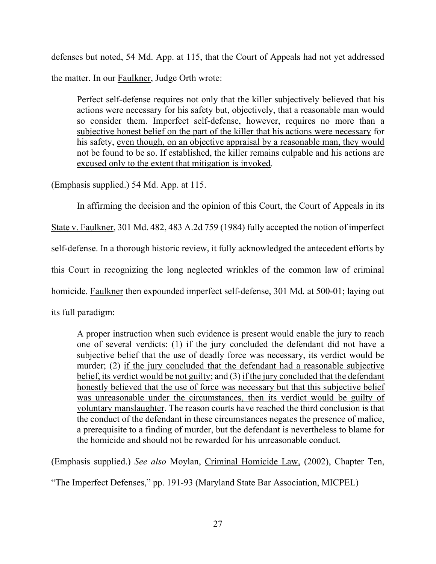defenses but noted, 54 Md. App. at 115, that the Court of Appeals had not yet addressed the matter. In our Faulkner, Judge Orth wrote:

Perfect self-defense requires not only that the killer subjectively believed that his actions were necessary for his safety but, objectively, that a reasonable man would so consider them. Imperfect self-defense, however, requires no more than a subjective honest belief on the part of the killer that his actions were necessary for his safety, even though, on an objective appraisal by a reasonable man, they would not be found to be so. If established, the killer remains culpable and his actions are excused only to the extent that mitigation is invoked.

(Emphasis supplied.) 54 Md. App. at 115.

 In affirming the decision and the opinion of this Court, the Court of Appeals in its State v. Faulkner, 301 Md. 482, 483 A.2d 759 (1984) fully accepted the notion of imperfect self-defense. In a thorough historic review, it fully acknowledged the antecedent efforts by this Court in recognizing the long neglected wrinkles of the common law of criminal homicide. Faulkner then expounded imperfect self-defense, 301 Md. at 500-01; laying out its full paradigm:

A proper instruction when such evidence is present would enable the jury to reach one of several verdicts: (1) if the jury concluded the defendant did not have a subjective belief that the use of deadly force was necessary, its verdict would be murder; (2) if the jury concluded that the defendant had a reasonable subjective belief, its verdict would be not guilty; and (3) if the jury concluded that the defendant honestly believed that the use of force was necessary but that this subjective belief was unreasonable under the circumstances, then its verdict would be guilty of voluntary manslaughter. The reason courts have reached the third conclusion is that the conduct of the defendant in these circumstances negates the presence of malice, a prerequisite to a finding of murder, but the defendant is nevertheless to blame for the homicide and should not be rewarded for his unreasonable conduct.

(Emphasis supplied.) *See also* Moylan, Criminal Homicide Law, (2002), Chapter Ten,

"The Imperfect Defenses," pp. 191-93 (Maryland State Bar Association, MICPEL)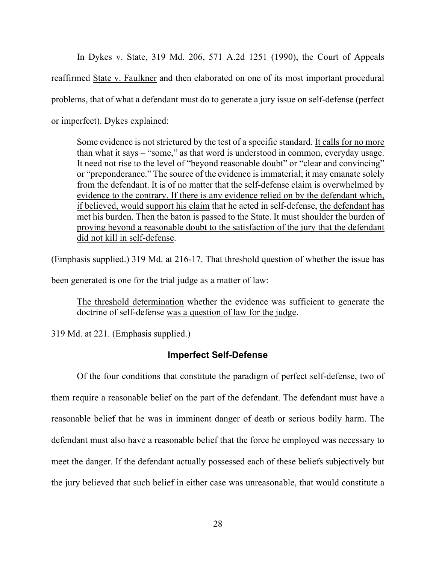In Dykes v. State, 319 Md. 206, 571 A.2d 1251 (1990), the Court of Appeals reaffirmed State v. Faulkner and then elaborated on one of its most important procedural problems, that of what a defendant must do to generate a jury issue on self-defense (perfect or imperfect). Dykes explained:

Some evidence is not strictured by the test of a specific standard. It calls for no more than what it says – "some," as that word is understood in common, everyday usage. It need not rise to the level of "beyond reasonable doubt" or "clear and convincing" or "preponderance." The source of the evidence is immaterial; it may emanate solely from the defendant. It is of no matter that the self-defense claim is overwhelmed by evidence to the contrary. If there is any evidence relied on by the defendant which, if believed, would support his claim that he acted in self-defense, the defendant has met his burden. Then the baton is passed to the State. It must shoulder the burden of proving beyond a reasonable doubt to the satisfaction of the jury that the defendant did not kill in self-defense.

(Emphasis supplied.) 319 Md. at 216-17. That threshold question of whether the issue has

been generated is one for the trial judge as a matter of law:

The threshold determination whether the evidence was sufficient to generate the doctrine of self-defense was a question of law for the judge.

319 Md. at 221. (Emphasis supplied.)

# **Imperfect Self-Defense**

 Of the four conditions that constitute the paradigm of perfect self-defense, two of them require a reasonable belief on the part of the defendant. The defendant must have a reasonable belief that he was in imminent danger of death or serious bodily harm. The defendant must also have a reasonable belief that the force he employed was necessary to meet the danger. If the defendant actually possessed each of these beliefs subjectively but the jury believed that such belief in either case was unreasonable, that would constitute a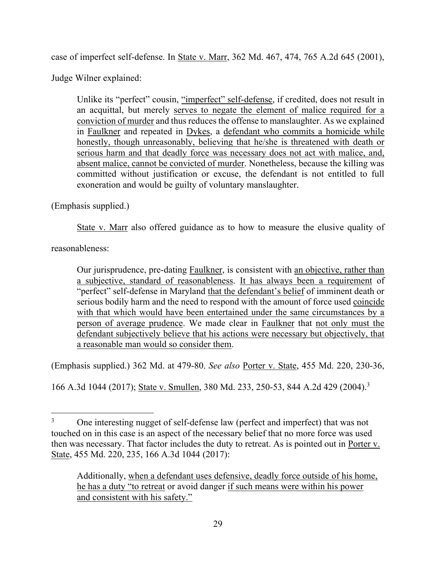case of imperfect self-defense. In State v. Marr, 362 Md. 467, 474, 765 A.2d 645 (2001),

Judge Wilner explained:

Unlike its "perfect" cousin, "imperfect" self-defense, if credited, does not result in an acquittal, but merely serves to negate the element of malice required for a conviction of murder and thus reduces the offense to manslaughter. As we explained in Faulkner and repeated in Dykes, a defendant who commits a homicide while honestly, though unreasonably, believing that he/she is threatened with death or serious harm and that deadly force was necessary does not act with malice, and, absent malice, cannot be convicted of murder. Nonetheless, because the killing was committed without justification or excuse, the defendant is not entitled to full exoneration and would be guilty of voluntary manslaughter.

(Emphasis supplied.)

State v. Marr also offered guidance as to how to measure the elusive quality of

reasonableness:

Our jurisprudence, pre-dating Faulkner, is consistent with an objective, rather than a subjective, standard of reasonableness. It has always been a requirement of "perfect" self-defense in Maryland that the defendant's belief of imminent death or serious bodily harm and the need to respond with the amount of force used coincide with that which would have been entertained under the same circumstances by a person of average prudence. We made clear in Faulkner that not only must the defendant subjectively believe that his actions were necessary but objectively, that a reasonable man would so consider them.

(Emphasis supplied.) 362 Md. at 479-80. *See also* Porter v. State, 455 Md. 220, 230-36,

166 A.3d 1044 (2017); State v. Smullen, 380 Md. 233, 250-53, 844 A.2d 429 (2004).<sup>3</sup>

<sup>3</sup> One interesting nugget of self-defense law (perfect and imperfect) that was not touched on in this case is an aspect of the necessary belief that no more force was used then was necessary. That factor includes the duty to retreat. As is pointed out in Porter v. State, 455 Md. 220, 235, 166 A.3d 1044 (2017):

Additionally, when a defendant uses defensive, deadly force outside of his home, he has a duty "to retreat or avoid danger if such means were within his power and consistent with his safety."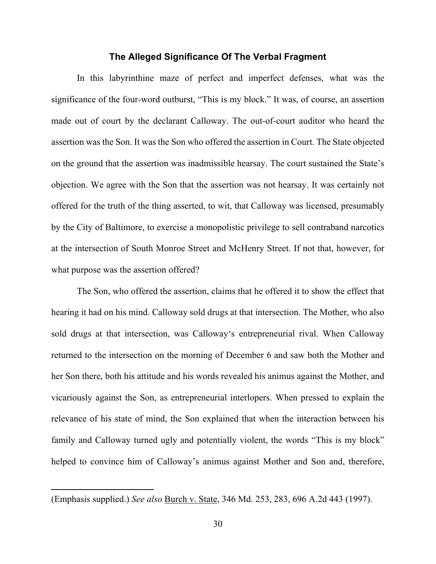#### **The Alleged Significance Of The Verbal Fragment**

 In this labyrinthine maze of perfect and imperfect defenses, what was the significance of the four-word outburst, "This is my block." It was, of course, an assertion made out of court by the declarant Calloway. The out-of-court auditor who heard the assertion was the Son. It was the Son who offered the assertion in Court. The State objected on the ground that the assertion was inadmissible hearsay. The court sustained the State's objection. We agree with the Son that the assertion was not hearsay. It was certainly not offered for the truth of the thing asserted, to wit, that Calloway was licensed, presumably by the City of Baltimore, to exercise a monopolistic privilege to sell contraband narcotics at the intersection of South Monroe Street and McHenry Street. If not that, however, for what purpose was the assertion offered?

 The Son, who offered the assertion, claims that he offered it to show the effect that hearing it had on his mind. Calloway sold drugs at that intersection. The Mother, who also sold drugs at that intersection, was Calloway's entrepreneurial rival. When Calloway returned to the intersection on the morning of December 6 and saw both the Mother and her Son there, both his attitude and his words revealed his animus against the Mother, and vicariously against the Son, as entrepreneurial interlopers. When pressed to explain the relevance of his state of mind, the Son explained that when the interaction between his family and Calloway turned ugly and potentially violent, the words "This is my block" helped to convince him of Calloway's animus against Mother and Son and, therefore,

<sup>(</sup>Emphasis supplied.) *See also* Burch v. State, 346 Md. 253, 283, 696 A.2d 443 (1997).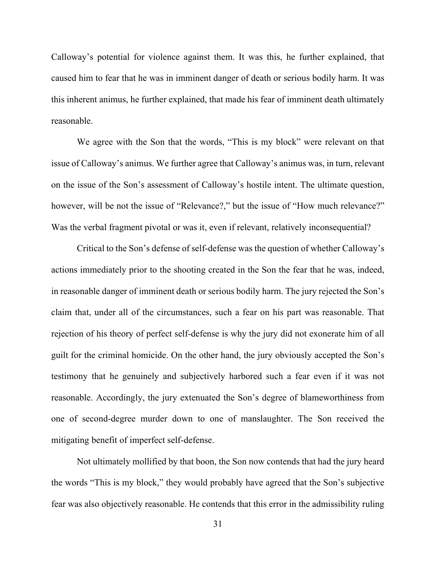Calloway's potential for violence against them. It was this, he further explained, that caused him to fear that he was in imminent danger of death or serious bodily harm. It was this inherent animus, he further explained, that made his fear of imminent death ultimately reasonable.

 We agree with the Son that the words, "This is my block" were relevant on that issue of Calloway's animus. We further agree that Calloway's animus was, in turn, relevant on the issue of the Son's assessment of Calloway's hostile intent. The ultimate question, however, will be not the issue of "Relevance?," but the issue of "How much relevance?" Was the verbal fragment pivotal or was it, even if relevant, relatively inconsequential?

 Critical to the Son's defense of self-defense was the question of whether Calloway's actions immediately prior to the shooting created in the Son the fear that he was, indeed, in reasonable danger of imminent death or serious bodily harm. The jury rejected the Son's claim that, under all of the circumstances, such a fear on his part was reasonable. That rejection of his theory of perfect self-defense is why the jury did not exonerate him of all guilt for the criminal homicide. On the other hand, the jury obviously accepted the Son's testimony that he genuinely and subjectively harbored such a fear even if it was not reasonable. Accordingly, the jury extenuated the Son's degree of blameworthiness from one of second-degree murder down to one of manslaughter. The Son received the mitigating benefit of imperfect self-defense.

 Not ultimately mollified by that boon, the Son now contends that had the jury heard the words "This is my block," they would probably have agreed that the Son's subjective fear was also objectively reasonable. He contends that this error in the admissibility ruling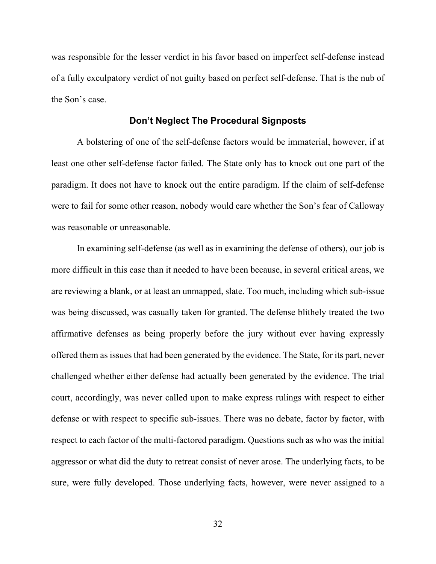was responsible for the lesser verdict in his favor based on imperfect self-defense instead of a fully exculpatory verdict of not guilty based on perfect self-defense. That is the nub of the Son's case.

### **Don't Neglect The Procedural Signposts**

 A bolstering of one of the self-defense factors would be immaterial, however, if at least one other self-defense factor failed. The State only has to knock out one part of the paradigm. It does not have to knock out the entire paradigm. If the claim of self-defense were to fail for some other reason, nobody would care whether the Son's fear of Calloway was reasonable or unreasonable.

 In examining self-defense (as well as in examining the defense of others), our job is more difficult in this case than it needed to have been because, in several critical areas, we are reviewing a blank, or at least an unmapped, slate. Too much, including which sub-issue was being discussed, was casually taken for granted. The defense blithely treated the two affirmative defenses as being properly before the jury without ever having expressly offered them as issues that had been generated by the evidence. The State, for its part, never challenged whether either defense had actually been generated by the evidence. The trial court, accordingly, was never called upon to make express rulings with respect to either defense or with respect to specific sub-issues. There was no debate, factor by factor, with respect to each factor of the multi-factored paradigm. Questions such as who was the initial aggressor or what did the duty to retreat consist of never arose. The underlying facts, to be sure, were fully developed. Those underlying facts, however, were never assigned to a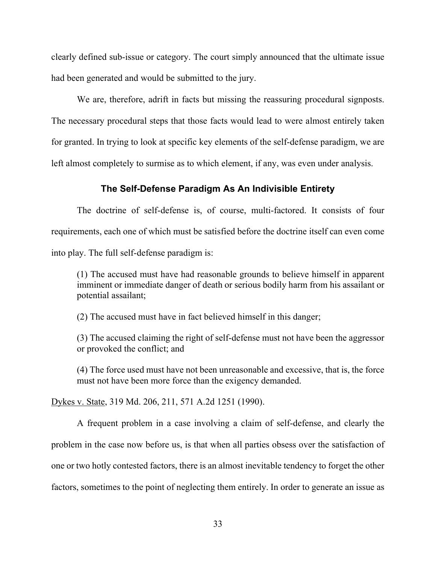clearly defined sub-issue or category. The court simply announced that the ultimate issue had been generated and would be submitted to the jury.

 We are, therefore, adrift in facts but missing the reassuring procedural signposts. The necessary procedural steps that those facts would lead to were almost entirely taken for granted. In trying to look at specific key elements of the self-defense paradigm, we are left almost completely to surmise as to which element, if any, was even under analysis.

### **The Self-Defense Paradigm As An Indivisible Entirety**

 The doctrine of self-defense is, of course, multi-factored. It consists of four requirements, each one of which must be satisfied before the doctrine itself can even come into play. The full self-defense paradigm is:

(1) The accused must have had reasonable grounds to believe himself in apparent imminent or immediate danger of death or serious bodily harm from his assailant or potential assailant;

(2) The accused must have in fact believed himself in this danger;

(3) The accused claiming the right of self-defense must not have been the aggressor or provoked the conflict; and

(4) The force used must have not been unreasonable and excessive, that is, the force must not have been more force than the exigency demanded.

Dykes v. State, 319 Md. 206, 211, 571 A.2d 1251 (1990).

 A frequent problem in a case involving a claim of self-defense, and clearly the problem in the case now before us, is that when all parties obsess over the satisfaction of one or two hotly contested factors, there is an almost inevitable tendency to forget the other factors, sometimes to the point of neglecting them entirely. In order to generate an issue as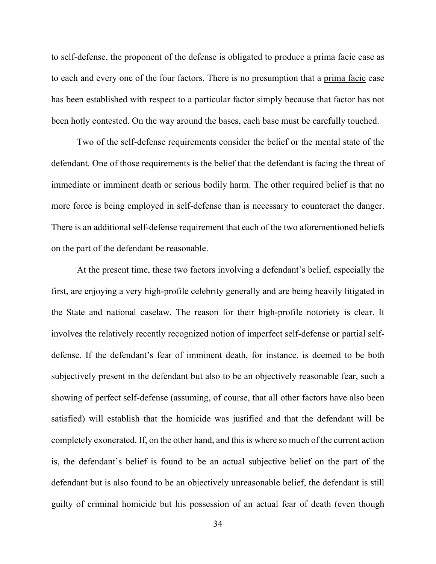to self-defense, the proponent of the defense is obligated to produce a prima facie case as to each and every one of the four factors. There is no presumption that a prima facie case has been established with respect to a particular factor simply because that factor has not been hotly contested. On the way around the bases, each base must be carefully touched.

 Two of the self-defense requirements consider the belief or the mental state of the defendant. One of those requirements is the belief that the defendant is facing the threat of immediate or imminent death or serious bodily harm. The other required belief is that no more force is being employed in self-defense than is necessary to counteract the danger. There is an additional self-defense requirement that each of the two aforementioned beliefs on the part of the defendant be reasonable.

 At the present time, these two factors involving a defendant's belief, especially the first, are enjoying a very high-profile celebrity generally and are being heavily litigated in the State and national caselaw. The reason for their high-profile notoriety is clear. It involves the relatively recently recognized notion of imperfect self-defense or partial selfdefense. If the defendant's fear of imminent death, for instance, is deemed to be both subjectively present in the defendant but also to be an objectively reasonable fear, such a showing of perfect self-defense (assuming, of course, that all other factors have also been satisfied) will establish that the homicide was justified and that the defendant will be completely exonerated. If, on the other hand, and this is where so much of the current action is, the defendant's belief is found to be an actual subjective belief on the part of the defendant but is also found to be an objectively unreasonable belief, the defendant is still guilty of criminal homicide but his possession of an actual fear of death (even though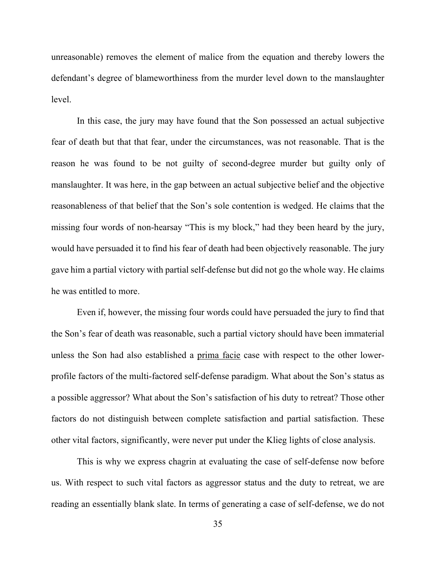unreasonable) removes the element of malice from the equation and thereby lowers the defendant's degree of blameworthiness from the murder level down to the manslaughter level.

 In this case, the jury may have found that the Son possessed an actual subjective fear of death but that that fear, under the circumstances, was not reasonable. That is the reason he was found to be not guilty of second-degree murder but guilty only of manslaughter. It was here, in the gap between an actual subjective belief and the objective reasonableness of that belief that the Son's sole contention is wedged. He claims that the missing four words of non-hearsay "This is my block," had they been heard by the jury, would have persuaded it to find his fear of death had been objectively reasonable. The jury gave him a partial victory with partial self-defense but did not go the whole way. He claims he was entitled to more.

 Even if, however, the missing four words could have persuaded the jury to find that the Son's fear of death was reasonable, such a partial victory should have been immaterial unless the Son had also established a prima facie case with respect to the other lowerprofile factors of the multi-factored self-defense paradigm. What about the Son's status as a possible aggressor? What about the Son's satisfaction of his duty to retreat? Those other factors do not distinguish between complete satisfaction and partial satisfaction. These other vital factors, significantly, were never put under the Klieg lights of close analysis.

 This is why we express chagrin at evaluating the case of self-defense now before us. With respect to such vital factors as aggressor status and the duty to retreat, we are reading an essentially blank slate. In terms of generating a case of self-defense, we do not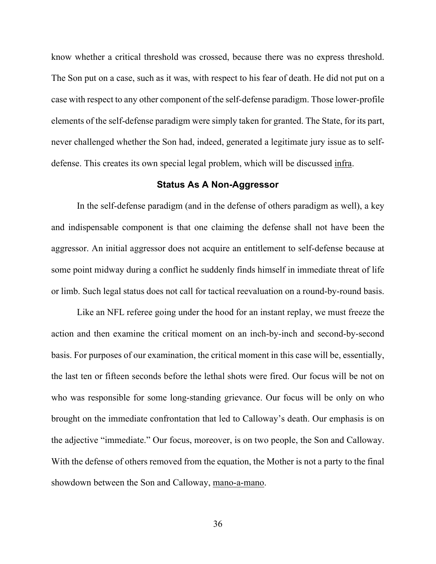know whether a critical threshold was crossed, because there was no express threshold. The Son put on a case, such as it was, with respect to his fear of death. He did not put on a case with respect to any other component of the self-defense paradigm. Those lower-profile elements of the self-defense paradigm were simply taken for granted. The State, for its part, never challenged whether the Son had, indeed, generated a legitimate jury issue as to selfdefense. This creates its own special legal problem, which will be discussed infra.

### **Status As A Non-Aggressor**

 In the self-defense paradigm (and in the defense of others paradigm as well), a key and indispensable component is that one claiming the defense shall not have been the aggressor. An initial aggressor does not acquire an entitlement to self-defense because at some point midway during a conflict he suddenly finds himself in immediate threat of life or limb. Such legal status does not call for tactical reevaluation on a round-by-round basis.

 Like an NFL referee going under the hood for an instant replay, we must freeze the action and then examine the critical moment on an inch-by-inch and second-by-second basis. For purposes of our examination, the critical moment in this case will be, essentially, the last ten or fifteen seconds before the lethal shots were fired. Our focus will be not on who was responsible for some long-standing grievance. Our focus will be only on who brought on the immediate confrontation that led to Calloway's death. Our emphasis is on the adjective "immediate." Our focus, moreover, is on two people, the Son and Calloway. With the defense of others removed from the equation, the Mother is not a party to the final showdown between the Son and Calloway, mano-a-mano.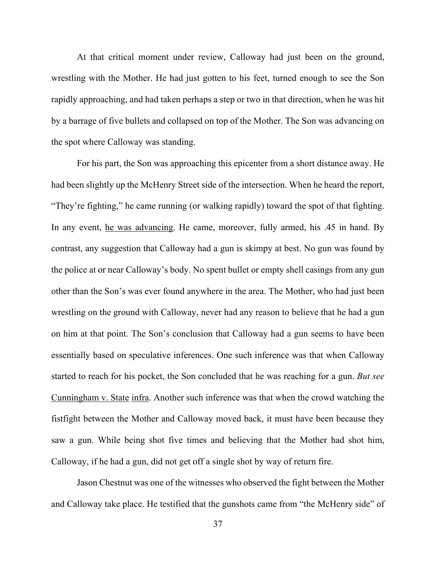At that critical moment under review, Calloway had just been on the ground, wrestling with the Mother. He had just gotten to his feet, turned enough to see the Son rapidly approaching, and had taken perhaps a step or two in that direction, when he was hit by a barrage of five bullets and collapsed on top of the Mother. The Son was advancing on the spot where Calloway was standing.

 For his part, the Son was approaching this epicenter from a short distance away. He had been slightly up the McHenry Street side of the intersection. When he heard the report, "They're fighting," he came running (or walking rapidly) toward the spot of that fighting. In any event, he was advancing. He came, moreover, fully armed, his .45 in hand. By contrast, any suggestion that Calloway had a gun is skimpy at best. No gun was found by the police at or near Calloway's body. No spent bullet or empty shell casings from any gun other than the Son's was ever found anywhere in the area. The Mother, who had just been wrestling on the ground with Calloway, never had any reason to believe that he had a gun on him at that point. The Son's conclusion that Calloway had a gun seems to have been essentially based on speculative inferences. One such inference was that when Calloway started to reach for his pocket, the Son concluded that he was reaching for a gun. *But see* Cunningham v. State infra. Another such inference was that when the crowd watching the fistfight between the Mother and Calloway moved back, it must have been because they saw a gun. While being shot five times and believing that the Mother had shot him, Calloway, if he had a gun, did not get off a single shot by way of return fire.

 Jason Chestnut was one of the witnesses who observed the fight between the Mother and Calloway take place. He testified that the gunshots came from "the McHenry side" of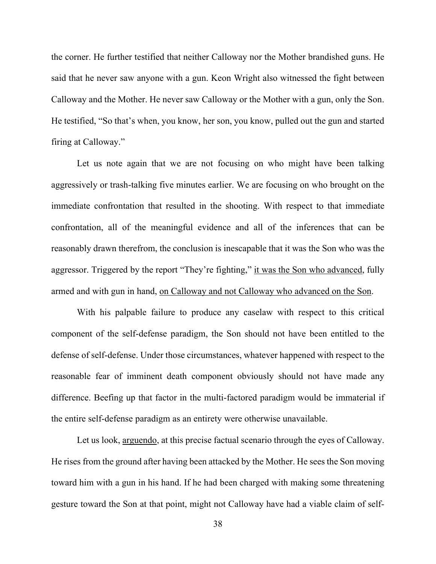the corner. He further testified that neither Calloway nor the Mother brandished guns. He said that he never saw anyone with a gun. Keon Wright also witnessed the fight between Calloway and the Mother. He never saw Calloway or the Mother with a gun, only the Son. He testified, "So that's when, you know, her son, you know, pulled out the gun and started firing at Calloway."

 Let us note again that we are not focusing on who might have been talking aggressively or trash-talking five minutes earlier. We are focusing on who brought on the immediate confrontation that resulted in the shooting. With respect to that immediate confrontation, all of the meaningful evidence and all of the inferences that can be reasonably drawn therefrom, the conclusion is inescapable that it was the Son who was the aggressor. Triggered by the report "They're fighting," it was the Son who advanced, fully armed and with gun in hand, on Calloway and not Calloway who advanced on the Son.

 With his palpable failure to produce any caselaw with respect to this critical component of the self-defense paradigm, the Son should not have been entitled to the defense of self-defense. Under those circumstances, whatever happened with respect to the reasonable fear of imminent death component obviously should not have made any difference. Beefing up that factor in the multi-factored paradigm would be immaterial if the entire self-defense paradigm as an entirety were otherwise unavailable.

Let us look, arguendo, at this precise factual scenario through the eyes of Calloway. He rises from the ground after having been attacked by the Mother. He sees the Son moving toward him with a gun in his hand. If he had been charged with making some threatening gesture toward the Son at that point, might not Calloway have had a viable claim of self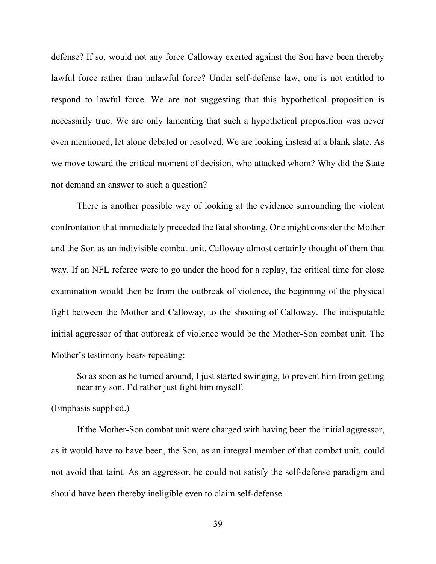defense? If so, would not any force Calloway exerted against the Son have been thereby lawful force rather than unlawful force? Under self-defense law, one is not entitled to respond to lawful force. We are not suggesting that this hypothetical proposition is necessarily true. We are only lamenting that such a hypothetical proposition was never even mentioned, let alone debated or resolved. We are looking instead at a blank slate. As we move toward the critical moment of decision, who attacked whom? Why did the State not demand an answer to such a question?

 There is another possible way of looking at the evidence surrounding the violent confrontation that immediately preceded the fatal shooting. One might consider the Mother and the Son as an indivisible combat unit. Calloway almost certainly thought of them that way. If an NFL referee were to go under the hood for a replay, the critical time for close examination would then be from the outbreak of violence, the beginning of the physical fight between the Mother and Calloway, to the shooting of Calloway. The indisputable initial aggressor of that outbreak of violence would be the Mother-Son combat unit. The Mother's testimony bears repeating:

So as soon as he turned around, I just started swinging, to prevent him from getting near my son. I'd rather just fight him myself.

(Emphasis supplied.)

 If the Mother-Son combat unit were charged with having been the initial aggressor, as it would have to have been, the Son, as an integral member of that combat unit, could not avoid that taint. As an aggressor, he could not satisfy the self-defense paradigm and should have been thereby ineligible even to claim self-defense.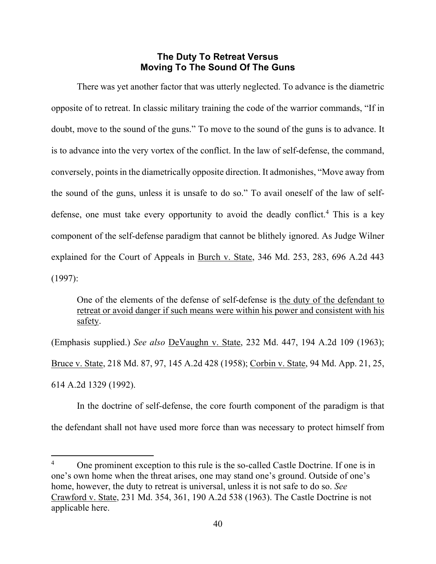# **The Duty To Retreat Versus Moving To The Sound Of The Guns**

 There was yet another factor that was utterly neglected. To advance is the diametric opposite of to retreat. In classic military training the code of the warrior commands, "If in doubt, move to the sound of the guns." To move to the sound of the guns is to advance. It is to advance into the very vortex of the conflict. In the law of self-defense, the command, conversely, points in the diametrically opposite direction. It admonishes, "Move away from the sound of the guns, unless it is unsafe to do so." To avail oneself of the law of selfdefense, one must take every opportunity to avoid the deadly conflict.<sup>4</sup> This is a key component of the self-defense paradigm that cannot be blithely ignored. As Judge Wilner explained for the Court of Appeals in Burch v. State, 346 Md. 253, 283, 696 A.2d 443 (1997):

One of the elements of the defense of self-defense is the duty of the defendant to retreat or avoid danger if such means were within his power and consistent with his safety.

(Emphasis supplied.) *See also* DeVaughn v. State, 232 Md. 447, 194 A.2d 109 (1963); Bruce v. State, 218 Md. 87, 97, 145 A.2d 428 (1958); Corbin v. State, 94 Md. App. 21, 25, 614 A.2d 1329 (1992).

 In the doctrine of self-defense, the core fourth component of the paradigm is that the defendant shall not have used more force than was necessary to protect himself from

<sup>4</sup> One prominent exception to this rule is the so-called Castle Doctrine. If one is in one's own home when the threat arises, one may stand one's ground. Outside of one's home, however, the duty to retreat is universal, unless it is not safe to do so. *See* Crawford v. State, 231 Md. 354, 361, 190 A.2d 538 (1963). The Castle Doctrine is not applicable here.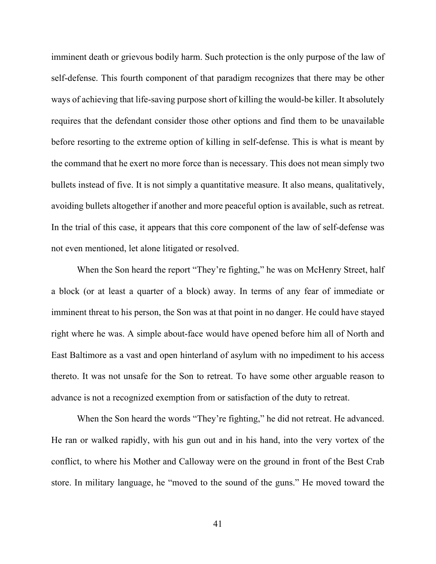imminent death or grievous bodily harm. Such protection is the only purpose of the law of self-defense. This fourth component of that paradigm recognizes that there may be other ways of achieving that life-saving purpose short of killing the would-be killer. It absolutely requires that the defendant consider those other options and find them to be unavailable before resorting to the extreme option of killing in self-defense. This is what is meant by the command that he exert no more force than is necessary. This does not mean simply two bullets instead of five. It is not simply a quantitative measure. It also means, qualitatively, avoiding bullets altogether if another and more peaceful option is available, such as retreat. In the trial of this case, it appears that this core component of the law of self-defense was not even mentioned, let alone litigated or resolved.

When the Son heard the report "They're fighting," he was on McHenry Street, half a block (or at least a quarter of a block) away. In terms of any fear of immediate or imminent threat to his person, the Son was at that point in no danger. He could have stayed right where he was. A simple about-face would have opened before him all of North and East Baltimore as a vast and open hinterland of asylum with no impediment to his access thereto. It was not unsafe for the Son to retreat. To have some other arguable reason to advance is not a recognized exemption from or satisfaction of the duty to retreat.

When the Son heard the words "They're fighting," he did not retreat. He advanced. He ran or walked rapidly, with his gun out and in his hand, into the very vortex of the conflict, to where his Mother and Calloway were on the ground in front of the Best Crab store. In military language, he "moved to the sound of the guns." He moved toward the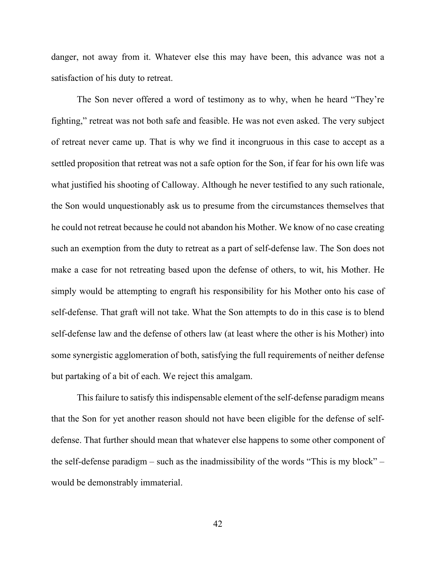danger, not away from it. Whatever else this may have been, this advance was not a satisfaction of his duty to retreat.

 The Son never offered a word of testimony as to why, when he heard "They're fighting," retreat was not both safe and feasible. He was not even asked. The very subject of retreat never came up. That is why we find it incongruous in this case to accept as a settled proposition that retreat was not a safe option for the Son, if fear for his own life was what justified his shooting of Calloway. Although he never testified to any such rationale, the Son would unquestionably ask us to presume from the circumstances themselves that he could not retreat because he could not abandon his Mother. We know of no case creating such an exemption from the duty to retreat as a part of self-defense law. The Son does not make a case for not retreating based upon the defense of others, to wit, his Mother. He simply would be attempting to engraft his responsibility for his Mother onto his case of self-defense. That graft will not take. What the Son attempts to do in this case is to blend self-defense law and the defense of others law (at least where the other is his Mother) into some synergistic agglomeration of both, satisfying the full requirements of neither defense but partaking of a bit of each. We reject this amalgam.

 This failure to satisfy this indispensable element of the self-defense paradigm means that the Son for yet another reason should not have been eligible for the defense of selfdefense. That further should mean that whatever else happens to some other component of the self-defense paradigm – such as the inadmissibility of the words "This is my block" – would be demonstrably immaterial.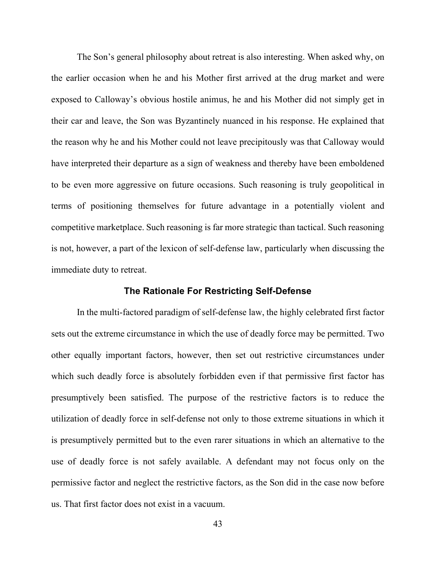The Son's general philosophy about retreat is also interesting. When asked why, on the earlier occasion when he and his Mother first arrived at the drug market and were exposed to Calloway's obvious hostile animus, he and his Mother did not simply get in their car and leave, the Son was Byzantinely nuanced in his response. He explained that the reason why he and his Mother could not leave precipitously was that Calloway would have interpreted their departure as a sign of weakness and thereby have been emboldened to be even more aggressive on future occasions. Such reasoning is truly geopolitical in terms of positioning themselves for future advantage in a potentially violent and competitive marketplace. Such reasoning is far more strategic than tactical. Such reasoning is not, however, a part of the lexicon of self-defense law, particularly when discussing the immediate duty to retreat.

### **The Rationale For Restricting Self-Defense**

 In the multi-factored paradigm of self-defense law, the highly celebrated first factor sets out the extreme circumstance in which the use of deadly force may be permitted. Two other equally important factors, however, then set out restrictive circumstances under which such deadly force is absolutely forbidden even if that permissive first factor has presumptively been satisfied. The purpose of the restrictive factors is to reduce the utilization of deadly force in self-defense not only to those extreme situations in which it is presumptively permitted but to the even rarer situations in which an alternative to the use of deadly force is not safely available. A defendant may not focus only on the permissive factor and neglect the restrictive factors, as the Son did in the case now before us. That first factor does not exist in a vacuum.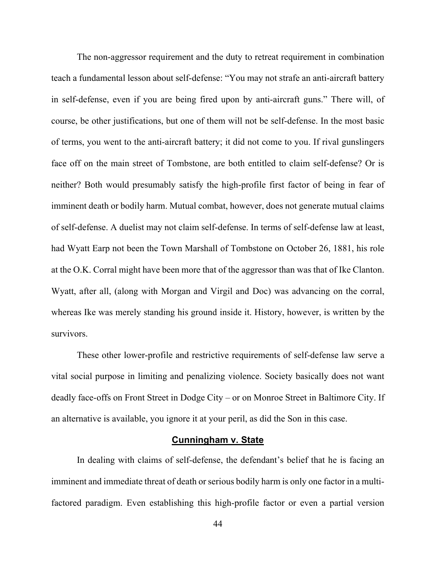The non-aggressor requirement and the duty to retreat requirement in combination teach a fundamental lesson about self-defense: "You may not strafe an anti-aircraft battery in self-defense, even if you are being fired upon by anti-aircraft guns." There will, of course, be other justifications, but one of them will not be self-defense. In the most basic of terms, you went to the anti-aircraft battery; it did not come to you. If rival gunslingers face off on the main street of Tombstone, are both entitled to claim self-defense? Or is neither? Both would presumably satisfy the high-profile first factor of being in fear of imminent death or bodily harm. Mutual combat, however, does not generate mutual claims of self-defense. A duelist may not claim self-defense. In terms of self-defense law at least, had Wyatt Earp not been the Town Marshall of Tombstone on October 26, 1881, his role at the O.K. Corral might have been more that of the aggressor than was that of Ike Clanton. Wyatt, after all, (along with Morgan and Virgil and Doc) was advancing on the corral, whereas Ike was merely standing his ground inside it. History, however, is written by the survivors.

 These other lower-profile and restrictive requirements of self-defense law serve a vital social purpose in limiting and penalizing violence. Society basically does not want deadly face-offs on Front Street in Dodge City – or on Monroe Street in Baltimore City. If an alternative is available, you ignore it at your peril, as did the Son in this case.

### **Cunningham v. State**

 In dealing with claims of self-defense, the defendant's belief that he is facing an imminent and immediate threat of death or serious bodily harm is only one factor in a multifactored paradigm. Even establishing this high-profile factor or even a partial version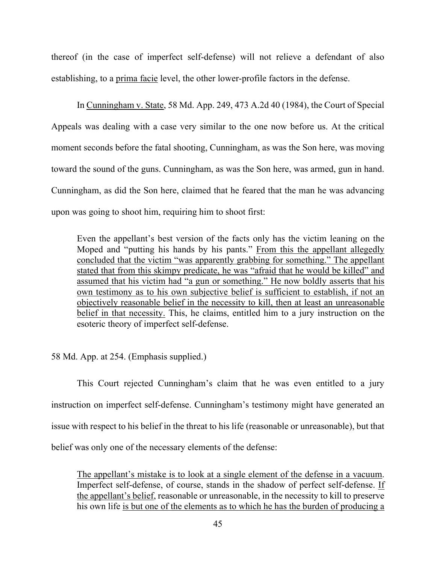thereof (in the case of imperfect self-defense) will not relieve a defendant of also establishing, to a prima facie level, the other lower-profile factors in the defense.

 In Cunningham v. State, 58 Md. App. 249, 473 A.2d 40 (1984), the Court of Special Appeals was dealing with a case very similar to the one now before us. At the critical moment seconds before the fatal shooting, Cunningham, as was the Son here, was moving toward the sound of the guns. Cunningham, as was the Son here, was armed, gun in hand. Cunningham, as did the Son here, claimed that he feared that the man he was advancing upon was going to shoot him, requiring him to shoot first:

Even the appellant's best version of the facts only has the victim leaning on the Moped and "putting his hands by his pants." From this the appellant allegedly concluded that the victim "was apparently grabbing for something." The appellant stated that from this skimpy predicate, he was "afraid that he would be killed" and assumed that his victim had "a gun or something." He now boldly asserts that his own testimony as to his own subjective belief is sufficient to establish, if not an objectively reasonable belief in the necessity to kill, then at least an unreasonable belief in that necessity. This, he claims, entitled him to a jury instruction on the esoteric theory of imperfect self-defense.

58 Md. App. at 254. (Emphasis supplied.)

 This Court rejected Cunningham's claim that he was even entitled to a jury instruction on imperfect self-defense. Cunningham's testimony might have generated an issue with respect to his belief in the threat to his life (reasonable or unreasonable), but that belief was only one of the necessary elements of the defense:

The appellant's mistake is to look at a single element of the defense in a vacuum. Imperfect self-defense, of course, stands in the shadow of perfect self-defense. If the appellant's belief, reasonable or unreasonable, in the necessity to kill to preserve his own life is but one of the elements as to which he has the burden of producing a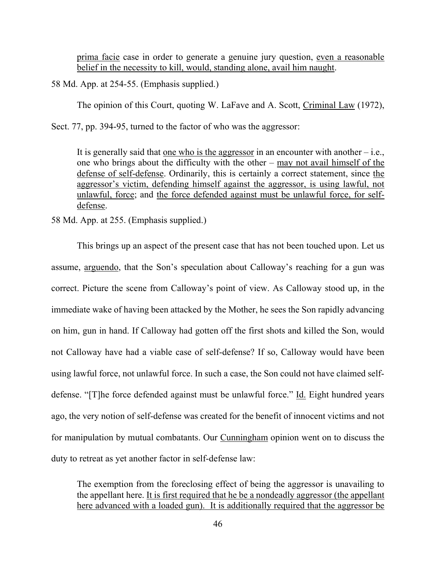prima facie case in order to generate a genuine jury question, even a reasonable belief in the necessity to kill, would, standing alone, avail him naught.

58 Md. App. at 254-55. (Emphasis supplied.)

The opinion of this Court, quoting W. LaFave and A. Scott, Criminal Law (1972),

Sect. 77, pp. 394-95, turned to the factor of who was the aggressor:

It is generally said that one who is the aggressor in an encounter with another  $-i.e.,$ one who brings about the difficulty with the other – may not avail himself of the defense of self-defense. Ordinarily, this is certainly a correct statement, since the aggressor's victim, defending himself against the aggressor, is using lawful, not unlawful, force; and the force defended against must be unlawful force, for selfdefense.

58 Md. App. at 255. (Emphasis supplied.)

 This brings up an aspect of the present case that has not been touched upon. Let us assume, arguendo, that the Son's speculation about Calloway's reaching for a gun was correct. Picture the scene from Calloway's point of view. As Calloway stood up, in the immediate wake of having been attacked by the Mother, he sees the Son rapidly advancing on him, gun in hand. If Calloway had gotten off the first shots and killed the Son, would not Calloway have had a viable case of self-defense? If so, Calloway would have been using lawful force, not unlawful force. In such a case, the Son could not have claimed selfdefense. "[T]he force defended against must be unlawful force." Id. Eight hundred years ago, the very notion of self-defense was created for the benefit of innocent victims and not for manipulation by mutual combatants. Our Cunningham opinion went on to discuss the duty to retreat as yet another factor in self-defense law:

The exemption from the foreclosing effect of being the aggressor is unavailing to the appellant here. It is first required that he be a nondeadly aggressor (the appellant here advanced with a loaded gun). It is additionally required that the aggressor be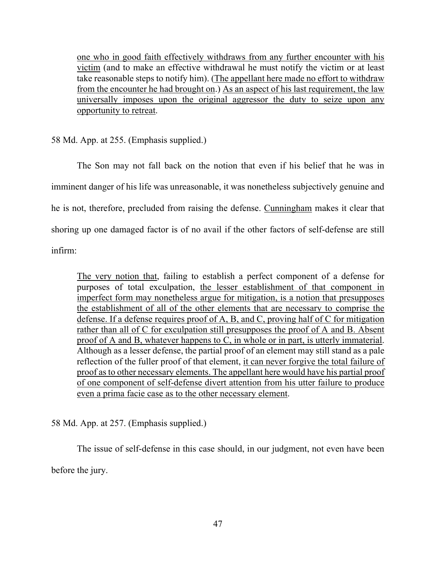one who in good faith effectively withdraws from any further encounter with his victim (and to make an effective withdrawal he must notify the victim or at least take reasonable steps to notify him). (The appellant here made no effort to withdraw from the encounter he had brought on.) As an aspect of his last requirement, the law universally imposes upon the original aggressor the duty to seize upon any opportunity to retreat.

58 Md. App. at 255. (Emphasis supplied.)

 The Son may not fall back on the notion that even if his belief that he was in imminent danger of his life was unreasonable, it was nonetheless subjectively genuine and he is not, therefore, precluded from raising the defense. Cunningham makes it clear that shoring up one damaged factor is of no avail if the other factors of self-defense are still infirm:

The very notion that, failing to establish a perfect component of a defense for purposes of total exculpation, the lesser establishment of that component in imperfect form may nonetheless argue for mitigation, is a notion that presupposes the establishment of all of the other elements that are necessary to comprise the defense. If a defense requires proof of A, B, and C, proving half of C for mitigation rather than all of C for exculpation still presupposes the proof of A and B. Absent proof of A and B, whatever happens to C, in whole or in part, is utterly immaterial. Although as a lesser defense, the partial proof of an element may still stand as a pale reflection of the fuller proof of that element, it can never forgive the total failure of proof as to other necessary elements. The appellant here would have his partial proof of one component of self-defense divert attention from his utter failure to produce even a prima facie case as to the other necessary element.

58 Md. App. at 257. (Emphasis supplied.)

 The issue of self-defense in this case should, in our judgment, not even have been before the jury.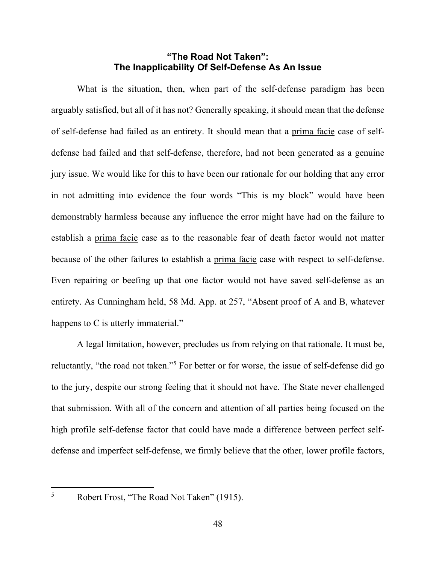# **"The Road Not Taken": The Inapplicability Of Self-Defense As An Issue**

 What is the situation, then, when part of the self-defense paradigm has been arguably satisfied, but all of it has not? Generally speaking, it should mean that the defense of self-defense had failed as an entirety. It should mean that a prima facie case of selfdefense had failed and that self-defense, therefore, had not been generated as a genuine jury issue. We would like for this to have been our rationale for our holding that any error in not admitting into evidence the four words "This is my block" would have been demonstrably harmless because any influence the error might have had on the failure to establish a prima facie case as to the reasonable fear of death factor would not matter because of the other failures to establish a prima facie case with respect to self-defense. Even repairing or beefing up that one factor would not have saved self-defense as an entirety. As Cunningham held, 58 Md. App. at 257, "Absent proof of A and B, whatever happens to C is utterly immaterial."

 A legal limitation, however, precludes us from relying on that rationale. It must be, reluctantly, "the road not taken."<sup>5</sup> For better or for worse, the issue of self-defense did go to the jury, despite our strong feeling that it should not have. The State never challenged that submission. With all of the concern and attention of all parties being focused on the high profile self-defense factor that could have made a difference between perfect selfdefense and imperfect self-defense, we firmly believe that the other, lower profile factors,

5

Robert Frost, "The Road Not Taken" (1915).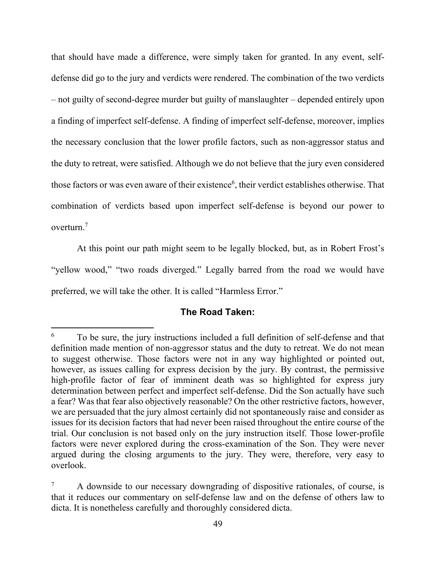that should have made a difference, were simply taken for granted. In any event, selfdefense did go to the jury and verdicts were rendered. The combination of the two verdicts – not guilty of second-degree murder but guilty of manslaughter – depended entirely upon a finding of imperfect self-defense. A finding of imperfect self-defense, moreover, implies the necessary conclusion that the lower profile factors, such as non-aggressor status and the duty to retreat, were satisfied. Although we do not believe that the jury even considered those factors or was even aware of their existence<sup>6</sup>, their verdict establishes otherwise. That combination of verdicts based upon imperfect self-defense is beyond our power to overturn.<sup>7</sup>

 At this point our path might seem to be legally blocked, but, as in Robert Frost's "yellow wood," "two roads diverged." Legally barred from the road we would have preferred, we will take the other. It is called "Harmless Error."

# **The Road Taken:**

To be sure, the jury instructions included a full definition of self-defense and that definition made mention of non-aggressor status and the duty to retreat. We do not mean to suggest otherwise. Those factors were not in any way highlighted or pointed out, however, as issues calling for express decision by the jury. By contrast, the permissive high-profile factor of fear of imminent death was so highlighted for express jury determination between perfect and imperfect self-defense. Did the Son actually have such a fear? Was that fear also objectively reasonable? On the other restrictive factors, however, we are persuaded that the jury almost certainly did not spontaneously raise and consider as issues for its decision factors that had never been raised throughout the entire course of the trial. Our conclusion is not based only on the jury instruction itself. Those lower-profile factors were never explored during the cross-examination of the Son. They were never argued during the closing arguments to the jury. They were, therefore, very easy to overlook.

<sup>7</sup> A downside to our necessary downgrading of dispositive rationales, of course, is that it reduces our commentary on self-defense law and on the defense of others law to dicta. It is nonetheless carefully and thoroughly considered dicta.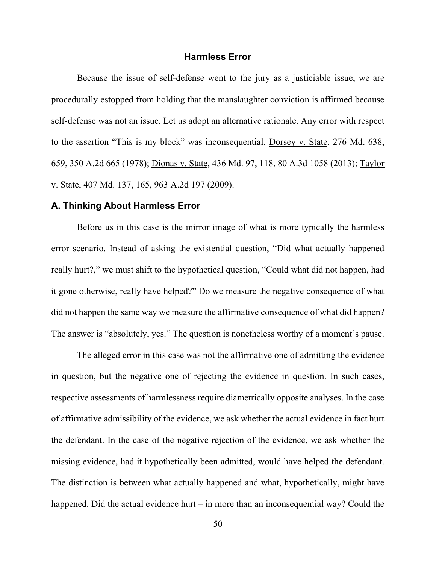#### **Harmless Error**

 Because the issue of self-defense went to the jury as a justiciable issue, we are procedurally estopped from holding that the manslaughter conviction is affirmed because self-defense was not an issue. Let us adopt an alternative rationale. Any error with respect to the assertion "This is my block" was inconsequential. Dorsey v. State, 276 Md. 638, 659, 350 A.2d 665 (1978); Dionas v. State, 436 Md. 97, 118, 80 A.3d 1058 (2013); Taylor v. State, 407 Md. 137, 165, 963 A.2d 197 (2009).

#### **A. Thinking About Harmless Error**

 Before us in this case is the mirror image of what is more typically the harmless error scenario. Instead of asking the existential question, "Did what actually happened really hurt?," we must shift to the hypothetical question, "Could what did not happen, had it gone otherwise, really have helped?" Do we measure the negative consequence of what did not happen the same way we measure the affirmative consequence of what did happen? The answer is "absolutely, yes." The question is nonetheless worthy of a moment's pause.

 The alleged error in this case was not the affirmative one of admitting the evidence in question, but the negative one of rejecting the evidence in question. In such cases, respective assessments of harmlessness require diametrically opposite analyses. In the case of affirmative admissibility of the evidence, we ask whether the actual evidence in fact hurt the defendant. In the case of the negative rejection of the evidence, we ask whether the missing evidence, had it hypothetically been admitted, would have helped the defendant. The distinction is between what actually happened and what, hypothetically, might have happened. Did the actual evidence hurt – in more than an inconsequential way? Could the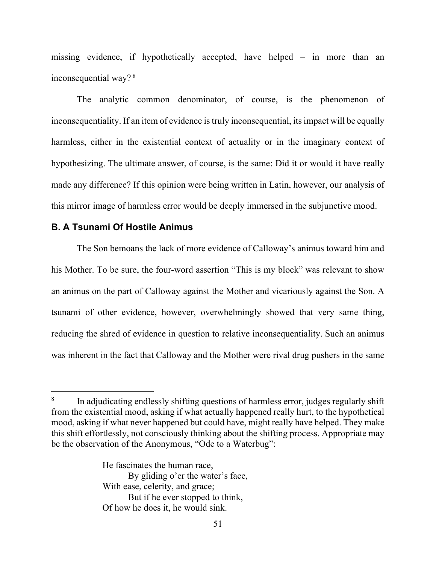missing evidence, if hypothetically accepted, have helped – in more than an inconsequential way?<sup>8</sup>

 The analytic common denominator, of course, is the phenomenon of inconsequentiality. If an item of evidence is truly inconsequential, its impact will be equally harmless, either in the existential context of actuality or in the imaginary context of hypothesizing. The ultimate answer, of course, is the same: Did it or would it have really made any difference? If this opinion were being written in Latin, however, our analysis of this mirror image of harmless error would be deeply immersed in the subjunctive mood.

### **B. A Tsunami Of Hostile Animus**

 The Son bemoans the lack of more evidence of Calloway's animus toward him and his Mother. To be sure, the four-word assertion "This is my block" was relevant to show an animus on the part of Calloway against the Mother and vicariously against the Son. A tsunami of other evidence, however, overwhelmingly showed that very same thing, reducing the shred of evidence in question to relative inconsequentiality. Such an animus was inherent in the fact that Calloway and the Mother were rival drug pushers in the same

He fascinates the human race, By gliding o'er the water's face, With ease, celerity, and grace; But if he ever stopped to think, Of how he does it, he would sink.

<sup>8</sup> In adjudicating endlessly shifting questions of harmless error, judges regularly shift from the existential mood, asking if what actually happened really hurt, to the hypothetical mood, asking if what never happened but could have, might really have helped. They make this shift effortlessly, not consciously thinking about the shifting process. Appropriate may be the observation of the Anonymous, "Ode to a Waterbug":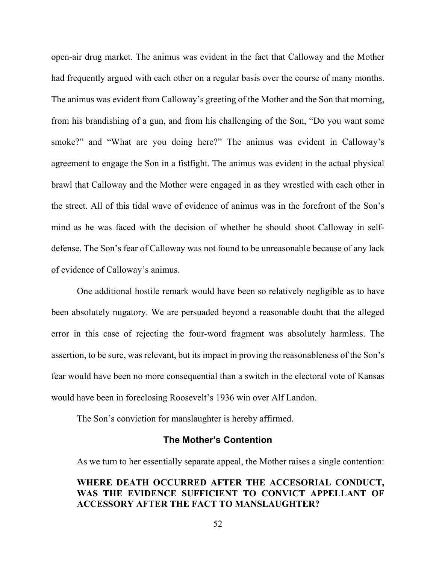open-air drug market. The animus was evident in the fact that Calloway and the Mother had frequently argued with each other on a regular basis over the course of many months. The animus was evident from Calloway's greeting of the Mother and the Son that morning, from his brandishing of a gun, and from his challenging of the Son, "Do you want some smoke?" and "What are you doing here?" The animus was evident in Calloway's agreement to engage the Son in a fistfight. The animus was evident in the actual physical brawl that Calloway and the Mother were engaged in as they wrestled with each other in the street. All of this tidal wave of evidence of animus was in the forefront of the Son's mind as he was faced with the decision of whether he should shoot Calloway in selfdefense. The Son's fear of Calloway was not found to be unreasonable because of any lack of evidence of Calloway's animus.

 One additional hostile remark would have been so relatively negligible as to have been absolutely nugatory. We are persuaded beyond a reasonable doubt that the alleged error in this case of rejecting the four-word fragment was absolutely harmless. The assertion, to be sure, was relevant, but its impact in proving the reasonableness of the Son's fear would have been no more consequential than a switch in the electoral vote of Kansas would have been in foreclosing Roosevelt's 1936 win over Alf Landon.

The Son's conviction for manslaughter is hereby affirmed.

### **The Mother's Contention**

As we turn to her essentially separate appeal, the Mother raises a single contention:

# **WHERE DEATH OCCURRED AFTER THE ACCESORIAL CONDUCT, WAS THE EVIDENCE SUFFICIENT TO CONVICT APPELLANT OF ACCESSORY AFTER THE FACT TO MANSLAUGHTER?**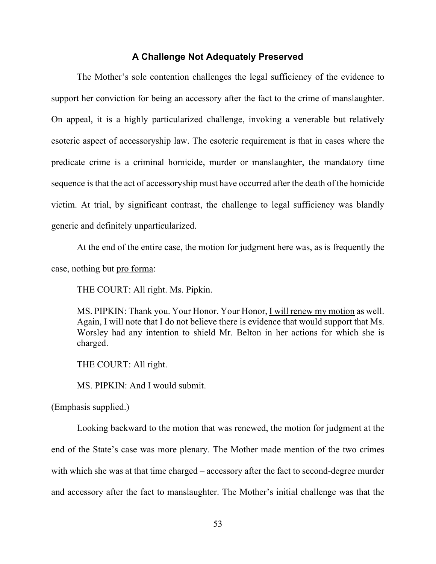#### **A Challenge Not Adequately Preserved**

 The Mother's sole contention challenges the legal sufficiency of the evidence to support her conviction for being an accessory after the fact to the crime of manslaughter. On appeal, it is a highly particularized challenge, invoking a venerable but relatively esoteric aspect of accessoryship law. The esoteric requirement is that in cases where the predicate crime is a criminal homicide, murder or manslaughter, the mandatory time sequence is that the act of accessoryship must have occurred after the death of the homicide victim. At trial, by significant contrast, the challenge to legal sufficiency was blandly generic and definitely unparticularized.

 At the end of the entire case, the motion for judgment here was, as is frequently the case, nothing but pro forma:

THE COURT: All right. Ms. Pipkin.

MS. PIPKIN: Thank you. Your Honor. Your Honor, I will renew my motion as well. Again, I will note that I do not believe there is evidence that would support that Ms. Worsley had any intention to shield Mr. Belton in her actions for which she is charged.

THE COURT: All right.

MS. PIPKIN: And I would submit.

(Emphasis supplied.)

 Looking backward to the motion that was renewed, the motion for judgment at the end of the State's case was more plenary. The Mother made mention of the two crimes with which she was at that time charged – accessory after the fact to second-degree murder and accessory after the fact to manslaughter. The Mother's initial challenge was that the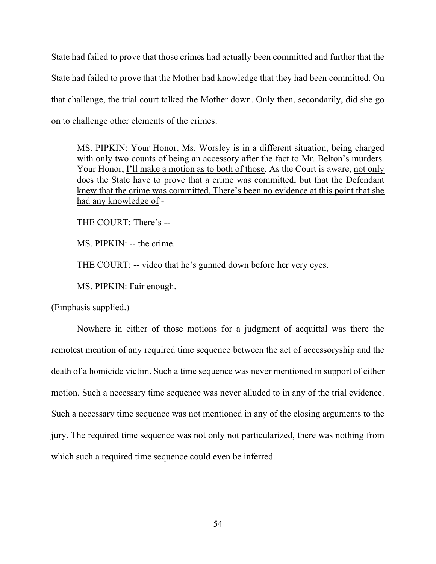State had failed to prove that those crimes had actually been committed and further that the State had failed to prove that the Mother had knowledge that they had been committed. On that challenge, the trial court talked the Mother down. Only then, secondarily, did she go on to challenge other elements of the crimes:

MS. PIPKIN: Your Honor, Ms. Worsley is in a different situation, being charged with only two counts of being an accessory after the fact to Mr. Belton's murders. Your Honor, I'll make a motion as to both of those. As the Court is aware, not only does the State have to prove that a crime was committed, but that the Defendant knew that the crime was committed. There's been no evidence at this point that she had any knowledge of -

THE COURT: There's --

MS. PIPKIN: -- the crime.

THE COURT: -- video that he's gunned down before her very eyes.

MS. PIPKIN: Fair enough.

(Emphasis supplied.)

 Nowhere in either of those motions for a judgment of acquittal was there the remotest mention of any required time sequence between the act of accessoryship and the death of a homicide victim. Such a time sequence was never mentioned in support of either motion. Such a necessary time sequence was never alluded to in any of the trial evidence. Such a necessary time sequence was not mentioned in any of the closing arguments to the jury. The required time sequence was not only not particularized, there was nothing from which such a required time sequence could even be inferred.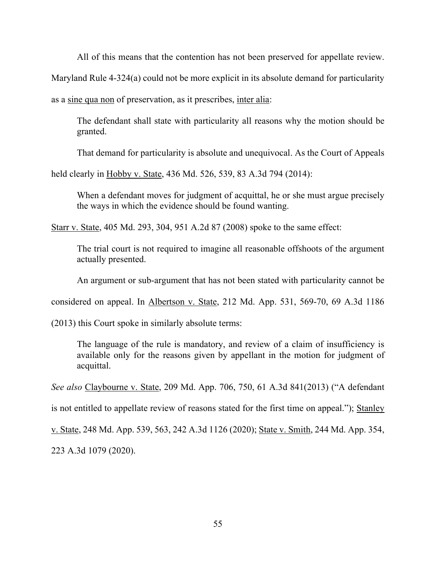All of this means that the contention has not been preserved for appellate review.

Maryland Rule 4-324(a) could not be more explicit in its absolute demand for particularity

as a sine qua non of preservation, as it prescribes, inter alia:

 The defendant shall state with particularity all reasons why the motion should be granted.

That demand for particularity is absolute and unequivocal. As the Court of Appeals

held clearly in Hobby v. State, 436 Md. 526, 539, 83 A.3d 794 (2014):

When a defendant moves for judgment of acquittal, he or she must argue precisely the ways in which the evidence should be found wanting.

Starr v. State, 405 Md. 293, 304, 951 A.2d 87 (2008) spoke to the same effect:

 The trial court is not required to imagine all reasonable offshoots of the argument actually presented.

An argument or sub-argument that has not been stated with particularity cannot be

considered on appeal. In Albertson v. State, 212 Md. App. 531, 569-70, 69 A.3d 1186

(2013) this Court spoke in similarly absolute terms:

The language of the rule is mandatory, and review of a claim of insufficiency is available only for the reasons given by appellant in the motion for judgment of acquittal.

*See also* Claybourne v. State, 209 Md. App. 706, 750, 61 A.3d 841(2013) ("A defendant

is not entitled to appellate review of reasons stated for the first time on appeal."); Stanley

v. State, 248 Md. App. 539, 563, 242 A.3d 1126 (2020); State v. Smith, 244 Md. App. 354,

223 A.3d 1079 (2020).